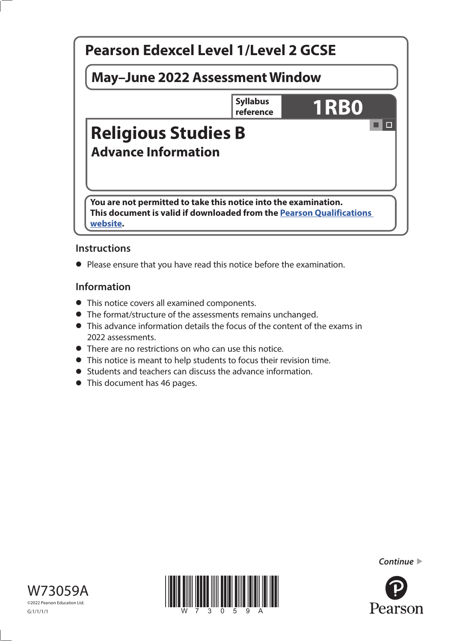

#### **Instructions**

**•** Please ensure that you have read this notice before the examination.

#### **Information**

- This notice covers all examined components.
- The format/structure of the assessments remains unchanged.
- This advance information details the focus of the content of the exams in 2022 assessments.
- There are no restrictions on who can use this notice.
- This notice is meant to help students to focus their revision time.
- Students and teachers can discuss the advance information.
- This document has 46 pages.





*Continue* 

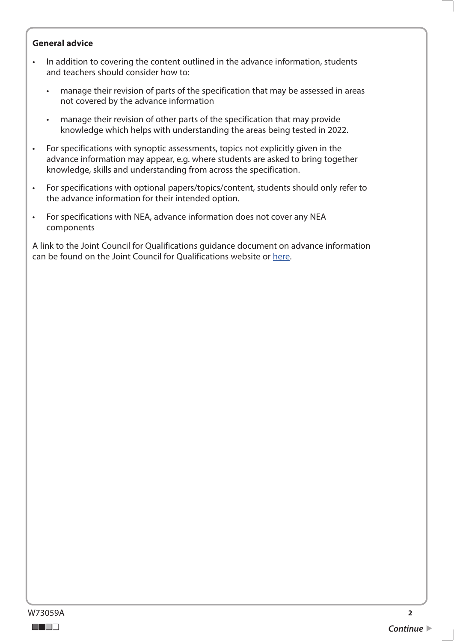#### **General advice**

- In addition to covering the content outlined in the advance information, students and teachers should consider how to:
	- manage their revision of parts of the specification that may be assessed in areas not covered by the advance information
	- manage their revision of other parts of the specification that may provide knowledge which helps with understanding the areas being tested in 2022.
- For specifications with synoptic assessments, topics not explicitly given in the advance information may appear, e.g. where students are asked to bring together knowledge, skills and understanding from across the specification.
- For specifications with optional papers/topics/content, students should only refer to the advance information for their intended option.
- For specifications with NEA, advance information does not cover any NEA components

A link to the Joint Council for Qualifications guidance document on advance information can be found on the Joint Council for Qualifications website or [here](https://www.jcq.org.uk/wp-content/uploads/2021/10/Advance-Information-for-General-Qualifications-2021-22.pdf).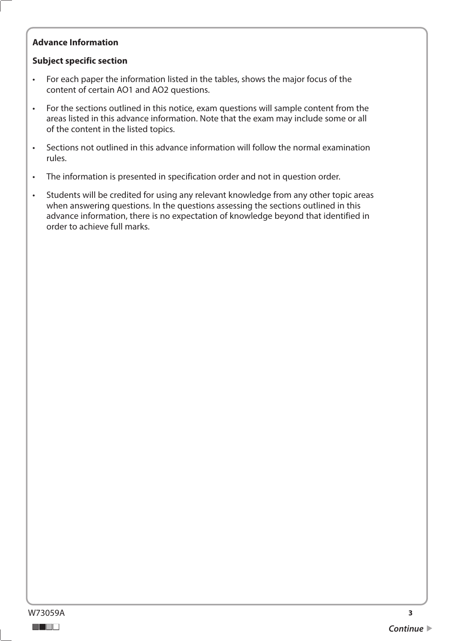#### **Advance Information**

#### **Subject specific section**

- For each paper the information listed in the tables, shows the major focus of the content of certain AO1 and AO2 questions.
- For the sections outlined in this notice, exam questions will sample content from the areas listed in this advance information. Note that the exam may include some or all of the content in the listed topics.
- Sections not outlined in this advance information will follow the normal examination rules.
- The information is presented in specification order and not in question order.
- Students will be credited for using any relevant knowledge from any other topic areas when answering questions. In the questions assessing the sections outlined in this advance information, there is no expectation of knowledge beyond that identified in order to achieve full marks.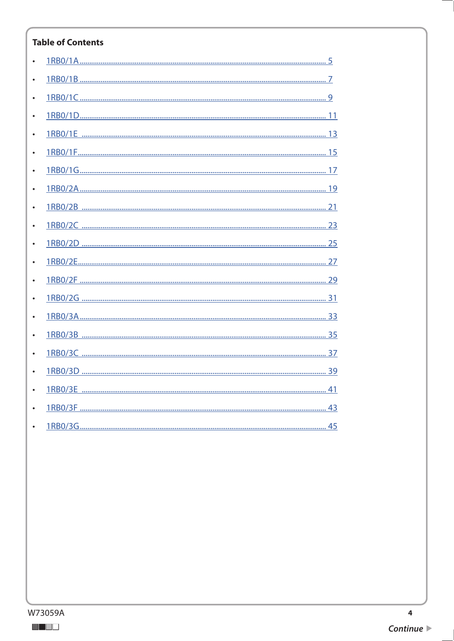#### **Table of Contents**

| $\bullet$ |  |
|-----------|--|
|           |  |
|           |  |
|           |  |
|           |  |
| $\bullet$ |  |
|           |  |
|           |  |
|           |  |
|           |  |
| $\bullet$ |  |
|           |  |
|           |  |
|           |  |
|           |  |
|           |  |
|           |  |
|           |  |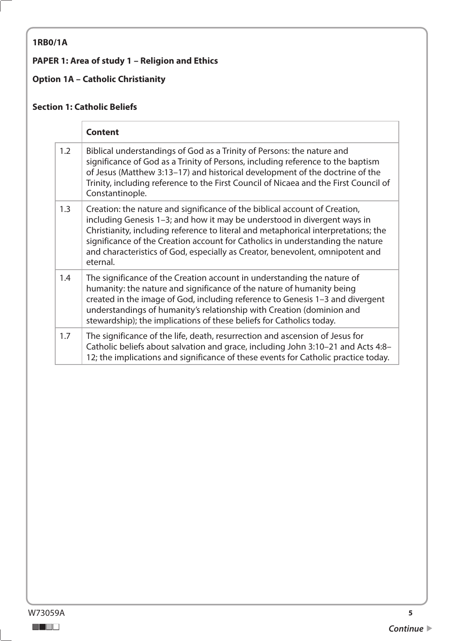## <span id="page-4-0"></span>**1RB0/1A**

## **PAPER 1: Area of study 1 – Religion and Ethics**

## **Option 1A – Catholic Christianity**

#### **Section 1: Catholic Beliefs**

|     | <b>Content</b>                                                                                                                                                                                                                                                                                                                                                                                                              |
|-----|-----------------------------------------------------------------------------------------------------------------------------------------------------------------------------------------------------------------------------------------------------------------------------------------------------------------------------------------------------------------------------------------------------------------------------|
| 1.2 | Biblical understandings of God as a Trinity of Persons: the nature and<br>significance of God as a Trinity of Persons, including reference to the baptism<br>of Jesus (Matthew 3:13-17) and historical development of the doctrine of the<br>Trinity, including reference to the First Council of Nicaea and the First Council of<br>Constantinople.                                                                        |
| 1.3 | Creation: the nature and significance of the biblical account of Creation,<br>including Genesis 1-3; and how it may be understood in divergent ways in<br>Christianity, including reference to literal and metaphorical interpretations; the<br>significance of the Creation account for Catholics in understanding the nature<br>and characteristics of God, especially as Creator, benevolent, omnipotent and<br>eternal. |
| 1.4 | The significance of the Creation account in understanding the nature of<br>humanity: the nature and significance of the nature of humanity being<br>created in the image of God, including reference to Genesis 1-3 and divergent<br>understandings of humanity's relationship with Creation (dominion and<br>stewardship); the implications of these beliefs for Catholics today.                                          |
| 1.7 | The significance of the life, death, resurrection and ascension of Jesus for<br>Catholic beliefs about salvation and grace, including John 3:10-21 and Acts 4:8-<br>12; the implications and significance of these events for Catholic practice today.                                                                                                                                                                      |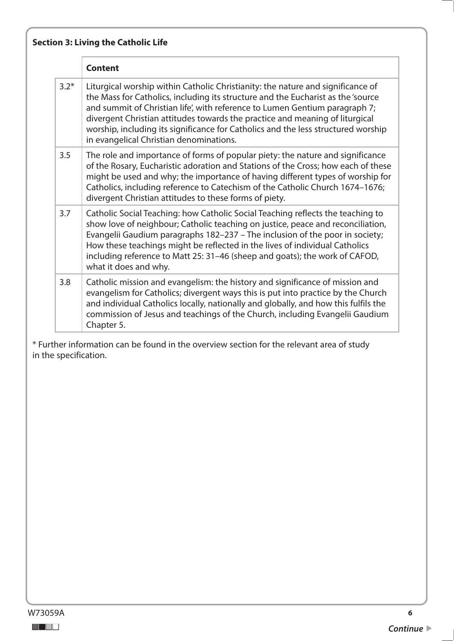|        | <b>Content</b>                                                                                                                                                                                                                                                                                                                                                                                                                                                     |
|--------|--------------------------------------------------------------------------------------------------------------------------------------------------------------------------------------------------------------------------------------------------------------------------------------------------------------------------------------------------------------------------------------------------------------------------------------------------------------------|
| $3.2*$ | Liturgical worship within Catholic Christianity: the nature and significance of<br>the Mass for Catholics, including its structure and the Eucharist as the 'source<br>and summit of Christian life', with reference to Lumen Gentium paragraph 7;<br>divergent Christian attitudes towards the practice and meaning of liturgical<br>worship, including its significance for Catholics and the less structured worship<br>in evangelical Christian denominations. |
| 3.5    | The role and importance of forms of popular piety: the nature and significance<br>of the Rosary, Eucharistic adoration and Stations of the Cross; how each of these<br>might be used and why; the importance of having different types of worship for<br>Catholics, including reference to Catechism of the Catholic Church 1674-1676;<br>divergent Christian attitudes to these forms of piety.                                                                   |
| 3.7    | Catholic Social Teaching: how Catholic Social Teaching reflects the teaching to<br>show love of neighbour; Catholic teaching on justice, peace and reconciliation,<br>Evangelii Gaudium paragraphs 182-237 - The inclusion of the poor in society;<br>How these teachings might be reflected in the lives of individual Catholics<br>including reference to Matt 25: 31-46 (sheep and goats); the work of CAFOD,<br>what it does and why.                          |
| 3.8    | Catholic mission and evangelism: the history and significance of mission and<br>evangelism for Catholics; divergent ways this is put into practice by the Church<br>and individual Catholics locally, nationally and globally, and how this fulfils the<br>commission of Jesus and teachings of the Church, including Evangelii Gaudium<br>Chapter 5.                                                                                                              |
|        | * Further information can be found in the overview section for the relevant area of study<br>in the specification.                                                                                                                                                                                                                                                                                                                                                 |
|        |                                                                                                                                                                                                                                                                                                                                                                                                                                                                    |
|        |                                                                                                                                                                                                                                                                                                                                                                                                                                                                    |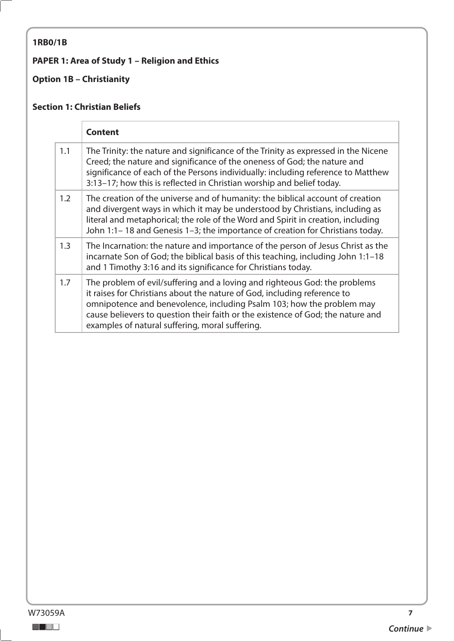## <span id="page-6-0"></span>**1RB0/1B**

## **PAPER 1: Area of Study 1 – Religion and Ethics**

## **Option 1B – Christianity**

#### **Section 1: Christian Beliefs**

|     | <b>Content</b>                                                                                                                                                                                                                                                                                                                                                        |
|-----|-----------------------------------------------------------------------------------------------------------------------------------------------------------------------------------------------------------------------------------------------------------------------------------------------------------------------------------------------------------------------|
| 1.1 | The Trinity: the nature and significance of the Trinity as expressed in the Nicene<br>Creed; the nature and significance of the oneness of God; the nature and<br>significance of each of the Persons individually: including reference to Matthew<br>3:13-17; how this is reflected in Christian worship and belief today.                                           |
| 1.2 | The creation of the universe and of humanity: the biblical account of creation<br>and divergent ways in which it may be understood by Christians, including as<br>literal and metaphorical; the role of the Word and Spirit in creation, including<br>John 1:1-18 and Genesis 1-3; the importance of creation for Christians today.                                   |
| 1.3 | The Incarnation: the nature and importance of the person of Jesus Christ as the<br>incarnate Son of God; the biblical basis of this teaching, including John 1:1-18<br>and 1 Timothy 3:16 and its significance for Christians today.                                                                                                                                  |
| 1.7 | The problem of evil/suffering and a loving and righteous God: the problems<br>it raises for Christians about the nature of God, including reference to<br>omnipotence and benevolence, including Psalm 103; how the problem may<br>cause believers to question their faith or the existence of God; the nature and<br>examples of natural suffering, moral suffering. |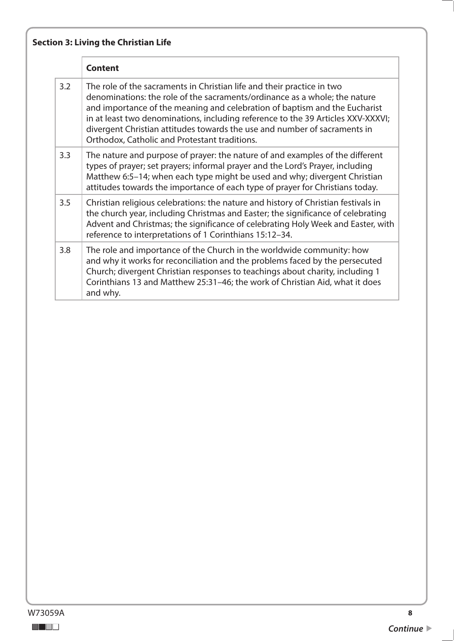|     | <b>Content</b>                                                                                                                                                                                                                                                                                                                                                                                                                                       |
|-----|------------------------------------------------------------------------------------------------------------------------------------------------------------------------------------------------------------------------------------------------------------------------------------------------------------------------------------------------------------------------------------------------------------------------------------------------------|
| 3.2 | The role of the sacraments in Christian life and their practice in two<br>denominations: the role of the sacraments/ordinance as a whole; the nature<br>and importance of the meaning and celebration of baptism and the Eucharist<br>in at least two denominations, including reference to the 39 Articles XXV-XXXVI;<br>divergent Christian attitudes towards the use and number of sacraments in<br>Orthodox, Catholic and Protestant traditions. |
| 3.3 | The nature and purpose of prayer: the nature of and examples of the different<br>types of prayer; set prayers; informal prayer and the Lord's Prayer, including<br>Matthew 6:5-14; when each type might be used and why; divergent Christian<br>attitudes towards the importance of each type of prayer for Christians today.                                                                                                                        |
| 3.5 | Christian religious celebrations: the nature and history of Christian festivals in<br>the church year, including Christmas and Easter; the significance of celebrating<br>Advent and Christmas; the significance of celebrating Holy Week and Easter, with<br>reference to interpretations of 1 Corinthians 15:12-34.                                                                                                                                |
| 3.8 | The role and importance of the Church in the worldwide community: how<br>and why it works for reconciliation and the problems faced by the persecuted<br>Church; divergent Christian responses to teachings about charity, including 1<br>Corinthians 13 and Matthew 25:31-46; the work of Christian Aid, what it does<br>and why.                                                                                                                   |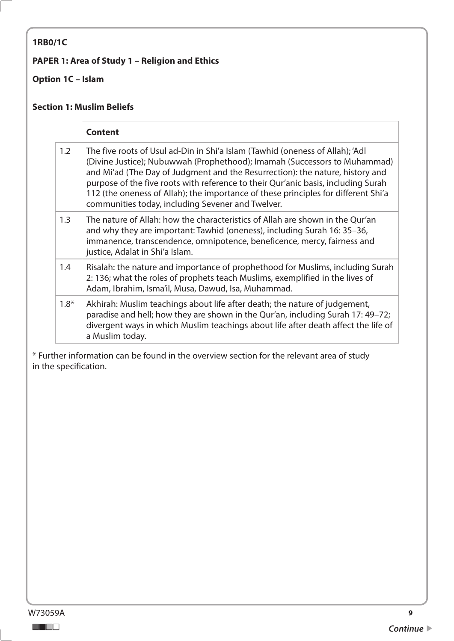#### <span id="page-8-0"></span>**1RB0/1C**

#### **PAPER 1: Area of Study 1 – Religion and Ethics**

#### **Option 1C – Islam**

#### **Section 1: Muslim Beliefs**

|        | <b>Content</b>                                                                                                                                                                                                                                                                                                                                                                                                                                                              |
|--------|-----------------------------------------------------------------------------------------------------------------------------------------------------------------------------------------------------------------------------------------------------------------------------------------------------------------------------------------------------------------------------------------------------------------------------------------------------------------------------|
| 1.2    | The five roots of Usul ad-Din in Shi'a Islam (Tawhid (oneness of Allah); 'Adl<br>(Divine Justice); Nubuwwah (Prophethood); Imamah (Successors to Muhammad)<br>and Mi'ad (The Day of Judgment and the Resurrection): the nature, history and<br>purpose of the five roots with reference to their Qur'anic basis, including Surah<br>112 (the oneness of Allah); the importance of these principles for different Shi'a<br>communities today, including Sevener and Twelver. |
| 1.3    | The nature of Allah: how the characteristics of Allah are shown in the Qur'an<br>and why they are important: Tawhid (oneness), including Surah 16: 35–36,<br>immanence, transcendence, omnipotence, beneficence, mercy, fairness and<br>justice, Adalat in Shi'a Islam.                                                                                                                                                                                                     |
| 1.4    | Risalah: the nature and importance of prophethood for Muslims, including Surah<br>2: 136; what the roles of prophets teach Muslims, exemplified in the lives of<br>Adam, Ibrahim, Isma'il, Musa, Dawud, Isa, Muhammad.                                                                                                                                                                                                                                                      |
| $1.8*$ | Akhirah: Muslim teachings about life after death; the nature of judgement,<br>paradise and hell; how they are shown in the Qur'an, including Surah 17: 49-72;<br>divergent ways in which Muslim teachings about life after death affect the life of<br>a Muslim today.                                                                                                                                                                                                      |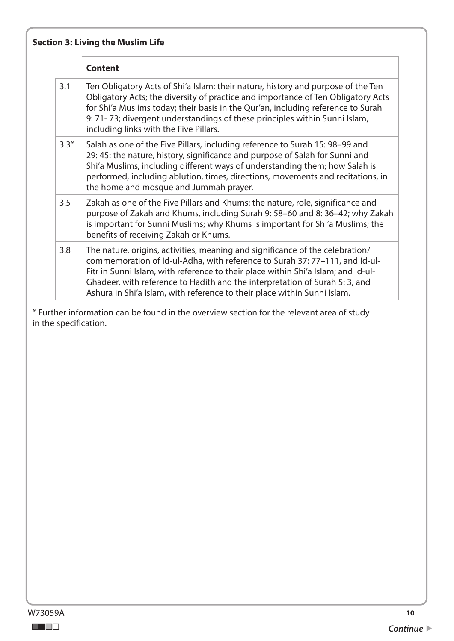|        | <b>Content</b>                                                                                                                                                                                                                                                                                                                                                                                               |
|--------|--------------------------------------------------------------------------------------------------------------------------------------------------------------------------------------------------------------------------------------------------------------------------------------------------------------------------------------------------------------------------------------------------------------|
| 3.1    | Ten Obligatory Acts of Shi'a Islam: their nature, history and purpose of the Ten<br>Obligatory Acts; the diversity of practice and importance of Ten Obligatory Acts<br>for Shi'a Muslims today; their basis in the Qur'an, including reference to Surah<br>9: 71-73; divergent understandings of these principles within Sunni Islam,<br>including links with the Five Pillars.                             |
| $3.3*$ | Salah as one of the Five Pillars, including reference to Surah 15: 98-99 and<br>29: 45: the nature, history, significance and purpose of Salah for Sunni and<br>Shi'a Muslims, including different ways of understanding them; how Salah is<br>performed, including ablution, times, directions, movements and recitations, in<br>the home and mosque and Jummah prayer.                                     |
| 3.5    | Zakah as one of the Five Pillars and Khums: the nature, role, significance and<br>purpose of Zakah and Khums, including Surah 9: 58-60 and 8: 36-42; why Zakah<br>is important for Sunni Muslims; why Khums is important for Shi'a Muslims; the<br>benefits of receiving Zakah or Khums.                                                                                                                     |
| 3.8    | The nature, origins, activities, meaning and significance of the celebration/<br>commemoration of Id-ul-Adha, with reference to Surah 37: 77-111, and Id-ul-<br>Fitr in Sunni Islam, with reference to their place within Shi'a Islam; and Id-ul-<br>Ghadeer, with reference to Hadith and the interpretation of Surah 5: 3, and<br>Ashura in Shi'a Islam, with reference to their place within Sunni Islam. |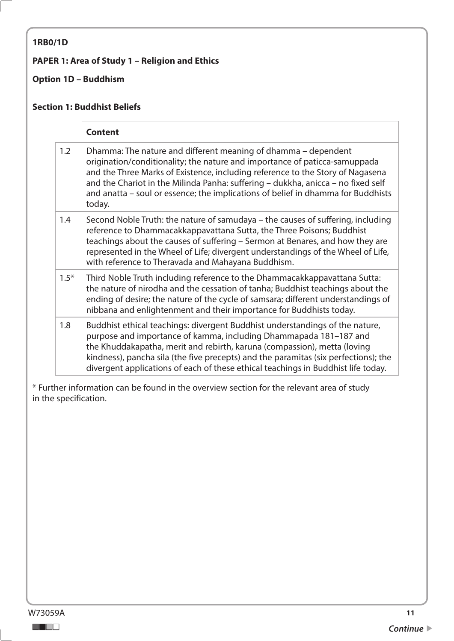#### <span id="page-10-0"></span>**1RB0/1D**

#### **PAPER 1: Area of Study 1 – Religion and Ethics**

## **Option 1D – Buddhism**

#### **Section 1: Buddhist Beliefs**

|        | <b>Content</b>                                                                                                                                                                                                                                                                                                                                                                                                   |
|--------|------------------------------------------------------------------------------------------------------------------------------------------------------------------------------------------------------------------------------------------------------------------------------------------------------------------------------------------------------------------------------------------------------------------|
| 1.2    | Dhamma: The nature and different meaning of dhamma – dependent<br>origination/conditionality; the nature and importance of paticca-samuppada<br>and the Three Marks of Existence, including reference to the Story of Nagasena<br>and the Chariot in the Milinda Panha: suffering - dukkha, anicca - no fixed self<br>and anatta - soul or essence; the implications of belief in dhamma for Buddhists<br>today. |
| 1.4    | Second Noble Truth: the nature of samudaya – the causes of suffering, including<br>reference to Dhammacakkappavattana Sutta, the Three Poisons; Buddhist<br>teachings about the causes of suffering – Sermon at Benares, and how they are<br>represented in the Wheel of Life; divergent understandings of the Wheel of Life,<br>with reference to Theravada and Mahayana Buddhism.                              |
| $1.5*$ | Third Noble Truth including reference to the Dhammacakkappavattana Sutta:<br>the nature of nirodha and the cessation of tanha; Buddhist teachings about the<br>ending of desire; the nature of the cycle of samsara; different understandings of<br>nibbana and enlightenment and their importance for Buddhists today.                                                                                          |
| 1.8    | Buddhist ethical teachings: divergent Buddhist understandings of the nature,<br>purpose and importance of kamma, including Dhammapada 181-187 and<br>the Khuddakapatha, merit and rebirth, karuna (compassion), metta (loving<br>kindness), pancha sila (the five precepts) and the paramitas (six perfections); the<br>divergent applications of each of these ethical teachings in Buddhist life today.        |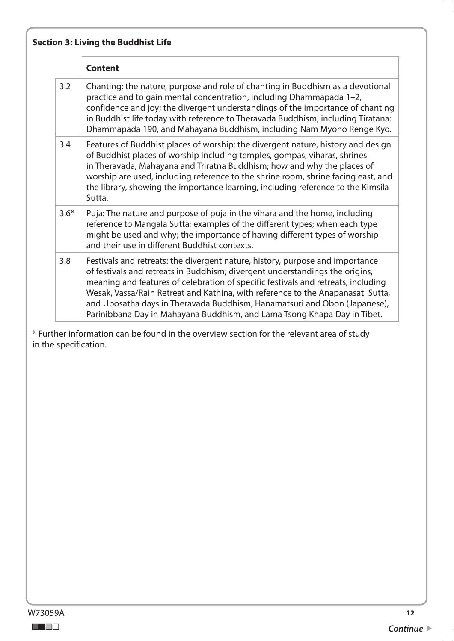|        | <b>Content</b>                                                                                                                                                                                                                                                                                                                                                                                                                                                                                 |
|--------|------------------------------------------------------------------------------------------------------------------------------------------------------------------------------------------------------------------------------------------------------------------------------------------------------------------------------------------------------------------------------------------------------------------------------------------------------------------------------------------------|
| 3.2    | Chanting: the nature, purpose and role of chanting in Buddhism as a devotional<br>practice and to gain mental concentration, including Dhammapada 1-2,<br>confidence and joy; the divergent understandings of the importance of chanting<br>in Buddhist life today with reference to Theravada Buddhism, including Tiratana:<br>Dhammapada 190, and Mahayana Buddhism, including Nam Myoho Renge Kyo.                                                                                          |
| 3.4    | Features of Buddhist places of worship: the divergent nature, history and design<br>of Buddhist places of worship including temples, gompas, viharas, shrines<br>in Theravada, Mahayana and Triratna Buddhism; how and why the places of<br>worship are used, including reference to the shrine room, shrine facing east, and<br>the library, showing the importance learning, including reference to the Kimsila<br>Sutta.                                                                    |
| $3.6*$ | Puja: The nature and purpose of puja in the vihara and the home, including<br>reference to Mangala Sutta; examples of the different types; when each type<br>might be used and why; the importance of having different types of worship<br>and their use in different Buddhist contexts.                                                                                                                                                                                                       |
| 3.8    | Festivals and retreats: the divergent nature, history, purpose and importance<br>of festivals and retreats in Buddhism; divergent understandings the origins,<br>meaning and features of celebration of specific festivals and retreats, including<br>Wesak, Vassa/Rain Retreat and Kathina, with reference to the Anapanasati Sutta,<br>and Uposatha days in Theravada Buddhism; Hanamatsuri and Obon (Japanese),<br>Parinibbana Day in Mahayana Buddhism, and Lama Tsong Khapa Day in Tibet. |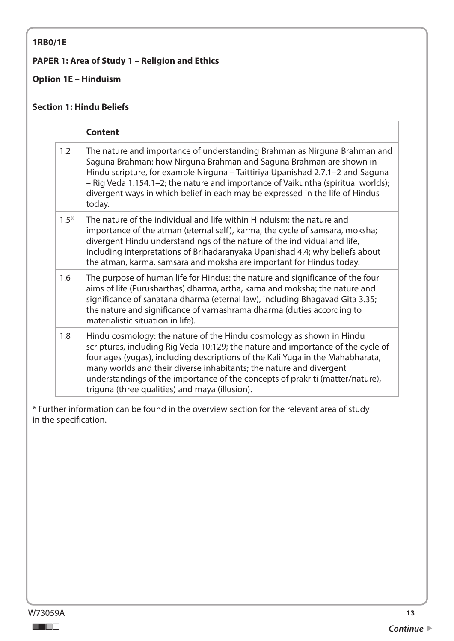#### <span id="page-12-0"></span>**1RB0/1E**

#### **PAPER 1: Area of Study 1 – Religion and Ethics**

## **Option 1E – Hinduism**

#### **Section 1: Hindu Beliefs**

|        | <b>Content</b>                                                                                                                                                                                                                                                                                                                                                                                                                                       |
|--------|------------------------------------------------------------------------------------------------------------------------------------------------------------------------------------------------------------------------------------------------------------------------------------------------------------------------------------------------------------------------------------------------------------------------------------------------------|
| 1.2    | The nature and importance of understanding Brahman as Nirguna Brahman and<br>Saguna Brahman: how Nirguna Brahman and Saguna Brahman are shown in<br>Hindu scripture, for example Nirguna – Taittiriya Upanishad 2.7.1–2 and Saguna<br>- Rig Veda 1.154.1-2; the nature and importance of Vaikuntha (spiritual worlds);<br>divergent ways in which belief in each may be expressed in the life of Hindus<br>today.                                    |
| $1.5*$ | The nature of the individual and life within Hinduism: the nature and<br>importance of the atman (eternal self), karma, the cycle of samsara, moksha;<br>divergent Hindu understandings of the nature of the individual and life,<br>including interpretations of Brihadaranyaka Upanishad 4.4; why beliefs about<br>the atman, karma, samsara and moksha are important for Hindus today.                                                            |
| 1.6    | The purpose of human life for Hindus: the nature and significance of the four<br>aims of life (Purusharthas) dharma, artha, kama and moksha; the nature and<br>significance of sanatana dharma (eternal law), including Bhagavad Gita 3.35;<br>the nature and significance of varnashrama dharma (duties according to<br>materialistic situation in life).                                                                                           |
| 1.8    | Hindu cosmology: the nature of the Hindu cosmology as shown in Hindu<br>scriptures, including Rig Veda 10:129; the nature and importance of the cycle of<br>four ages (yugas), including descriptions of the Kali Yuga in the Mahabharata,<br>many worlds and their diverse inhabitants; the nature and divergent<br>understandings of the importance of the concepts of prakriti (matter/nature),<br>triguna (three qualities) and maya (illusion). |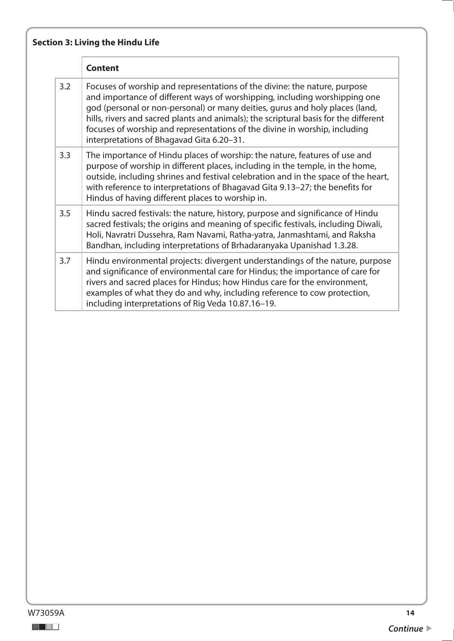|     | <b>Content</b>                                                                                                                                                                                                                                                                                                                                                                                                                                             |
|-----|------------------------------------------------------------------------------------------------------------------------------------------------------------------------------------------------------------------------------------------------------------------------------------------------------------------------------------------------------------------------------------------------------------------------------------------------------------|
| 3.2 | Focuses of worship and representations of the divine: the nature, purpose<br>and importance of different ways of worshipping, including worshipping one<br>god (personal or non-personal) or many deities, gurus and holy places (land,<br>hills, rivers and sacred plants and animals); the scriptural basis for the different<br>focuses of worship and representations of the divine in worship, including<br>interpretations of Bhagavad Gita 6.20-31. |
| 3.3 | The importance of Hindu places of worship: the nature, features of use and<br>purpose of worship in different places, including in the temple, in the home,<br>outside, including shrines and festival celebration and in the space of the heart,<br>with reference to interpretations of Bhagavad Gita 9.13-27; the benefits for<br>Hindus of having different places to worship in.                                                                      |
| 3.5 | Hindu sacred festivals: the nature, history, purpose and significance of Hindu<br>sacred festivals; the origins and meaning of specific festivals, including Diwali,<br>Holi, Navratri Dussehra, Ram Navami, Ratha-yatra, Janmashtami, and Raksha<br>Bandhan, including interpretations of Brhadaranyaka Upanishad 1.3.28.                                                                                                                                 |
| 3.7 | Hindu environmental projects: divergent understandings of the nature, purpose<br>and significance of environmental care for Hindus; the importance of care for<br>rivers and sacred places for Hindus; how Hindus care for the environment,<br>examples of what they do and why, including reference to cow protection,<br>including interpretations of Rig Veda 10.87.16-19.                                                                              |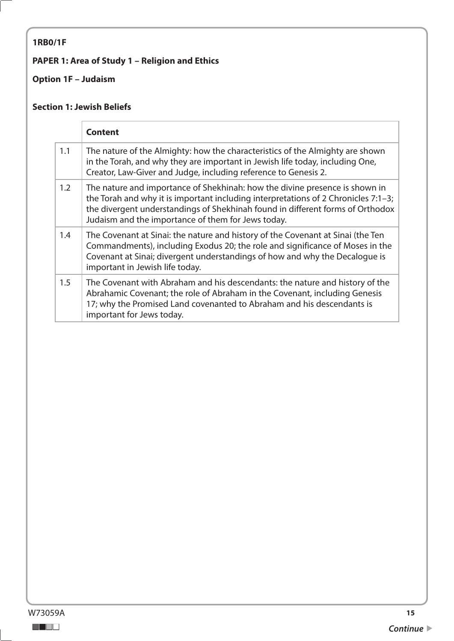## <span id="page-14-0"></span>**1RB0/1F**

## **PAPER 1: Area of Study 1 – Religion and Ethics**

## **Option 1F – Judaism**

#### **Section 1: Jewish Beliefs**

|     | <b>Content</b>                                                                                                                                                                                                                                                                                               |
|-----|--------------------------------------------------------------------------------------------------------------------------------------------------------------------------------------------------------------------------------------------------------------------------------------------------------------|
| 1.1 | The nature of the Almighty: how the characteristics of the Almighty are shown<br>in the Torah, and why they are important in Jewish life today, including One,<br>Creator, Law-Giver and Judge, including reference to Genesis 2.                                                                            |
| 1.2 | The nature and importance of Shekhinah: how the divine presence is shown in<br>the Torah and why it is important including interpretations of 2 Chronicles $7:1-3$ ;<br>the divergent understandings of Shekhinah found in different forms of Orthodox<br>Judaism and the importance of them for Jews today. |
| 1.4 | The Covenant at Sinai: the nature and history of the Covenant at Sinai (the Ten<br>Commandments), including Exodus 20; the role and significance of Moses in the<br>Covenant at Sinai; divergent understandings of how and why the Decalogue is<br>important in Jewish life today.                           |
| 1.5 | The Covenant with Abraham and his descendants: the nature and history of the<br>Abrahamic Covenant; the role of Abraham in the Covenant, including Genesis<br>17; why the Promised Land covenanted to Abraham and his descendants is<br>important for Jews today.                                            |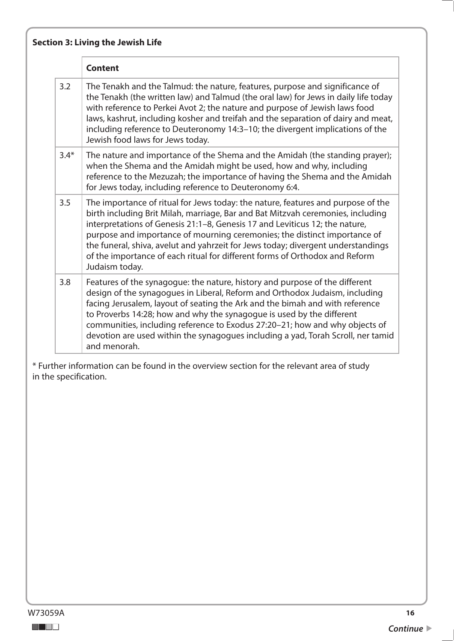|        | <b>Content</b>                                                                                                                                                                                                                                                                                                                                                                                                                                                                                                       |
|--------|----------------------------------------------------------------------------------------------------------------------------------------------------------------------------------------------------------------------------------------------------------------------------------------------------------------------------------------------------------------------------------------------------------------------------------------------------------------------------------------------------------------------|
| 3.2    | The Tenakh and the Talmud: the nature, features, purpose and significance of<br>the Tenakh (the written law) and Talmud (the oral law) for Jews in daily life today<br>with reference to Perkei Avot 2; the nature and purpose of Jewish laws food<br>laws, kashrut, including kosher and treifah and the separation of dairy and meat,<br>including reference to Deuteronomy 14:3-10; the divergent implications of the<br>Jewish food laws for Jews today.                                                         |
| $3.4*$ | The nature and importance of the Shema and the Amidah (the standing prayer);<br>when the Shema and the Amidah might be used, how and why, including<br>reference to the Mezuzah; the importance of having the Shema and the Amidah<br>for Jews today, including reference to Deuteronomy 6:4.                                                                                                                                                                                                                        |
| 3.5    | The importance of ritual for Jews today: the nature, features and purpose of the<br>birth including Brit Milah, marriage, Bar and Bat Mitzvah ceremonies, including<br>interpretations of Genesis 21:1-8, Genesis 17 and Leviticus 12; the nature,<br>purpose and importance of mourning ceremonies; the distinct importance of<br>the funeral, shiva, avelut and yahrzeit for Jews today; divergent understandings<br>of the importance of each ritual for different forms of Orthodox and Reform<br>Judaism today. |
| 3.8    | Features of the synagogue: the nature, history and purpose of the different<br>design of the synagogues in Liberal, Reform and Orthodox Judaism, including<br>facing Jerusalem, layout of seating the Ark and the bimah and with reference<br>to Proverbs 14:28; how and why the synagogue is used by the different<br>communities, including reference to Exodus 27:20-21; how and why objects of<br>devotion are used within the synagogues including a yad, Torah Scroll, ner tamid<br>and menorah.               |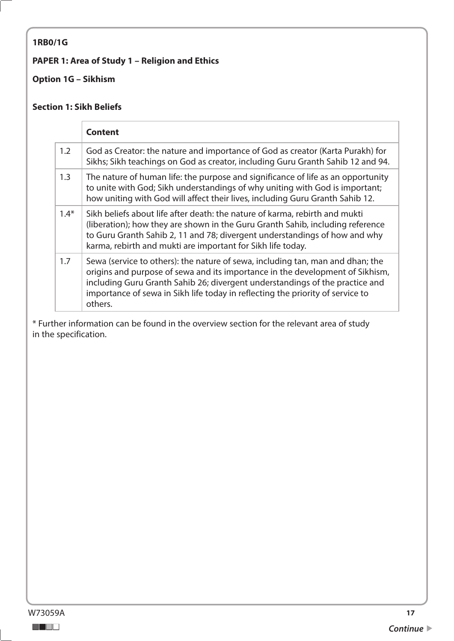#### <span id="page-16-0"></span>**1RB0/1G**

#### **PAPER 1: Area of Study 1 – Religion and Ethics**

### **Option 1G – Sikhism**

#### **Section 1: Sikh Beliefs**

|        | <b>Content</b>                                                                                                                                                                                                                                                                                                                               |
|--------|----------------------------------------------------------------------------------------------------------------------------------------------------------------------------------------------------------------------------------------------------------------------------------------------------------------------------------------------|
| 1.2    | God as Creator: the nature and importance of God as creator (Karta Purakh) for<br>Sikhs; Sikh teachings on God as creator, including Guru Granth Sahib 12 and 94.                                                                                                                                                                            |
| 1.3    | The nature of human life: the purpose and significance of life as an opportunity<br>to unite with God; Sikh understandings of why uniting with God is important;<br>how uniting with God will affect their lives, including Guru Granth Sahib 12.                                                                                            |
| $1.4*$ | Sikh beliefs about life after death: the nature of karma, rebirth and mukti<br>(liberation); how they are shown in the Guru Granth Sahib, including reference<br>to Guru Granth Sahib 2, 11 and 78; divergent understandings of how and why<br>karma, rebirth and mukti are important for Sikh life today.                                   |
| 1.7    | Sewa (service to others): the nature of sewa, including tan, man and dhan; the<br>origins and purpose of sewa and its importance in the development of Sikhism,<br>including Guru Granth Sahib 26; divergent understandings of the practice and<br>importance of sewa in Sikh life today in reflecting the priority of service to<br>others. |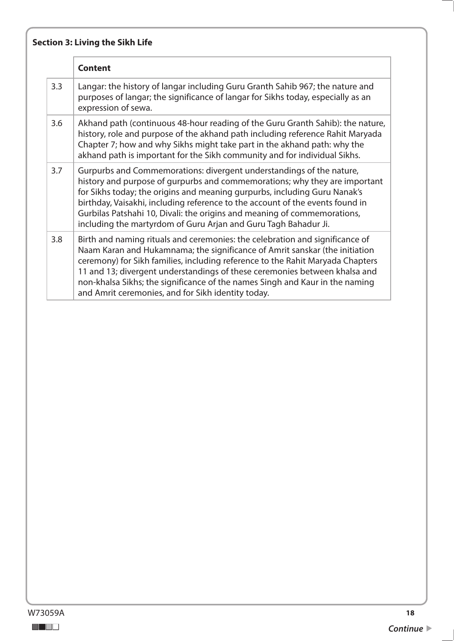|     | <b>Content</b>                                                                                                                                                                                                                                                                                                                                                                                                                                                    |
|-----|-------------------------------------------------------------------------------------------------------------------------------------------------------------------------------------------------------------------------------------------------------------------------------------------------------------------------------------------------------------------------------------------------------------------------------------------------------------------|
| 3.3 | Langar: the history of langar including Guru Granth Sahib 967; the nature and<br>purposes of langar; the significance of langar for Sikhs today, especially as an<br>expression of sewa.                                                                                                                                                                                                                                                                          |
| 3.6 | Akhand path (continuous 48-hour reading of the Guru Granth Sahib): the nature,<br>history, role and purpose of the akhand path including reference Rahit Maryada<br>Chapter 7; how and why Sikhs might take part in the akhand path: why the<br>akhand path is important for the Sikh community and for individual Sikhs.                                                                                                                                         |
| 3.7 | Gurpurbs and Commemorations: divergent understandings of the nature,<br>history and purpose of gurpurbs and commemorations; why they are important<br>for Sikhs today; the origins and meaning gurpurbs, including Guru Nanak's<br>birthday, Vaisakhi, including reference to the account of the events found in<br>Gurbilas Patshahi 10, Divali: the origins and meaning of commemorations,<br>including the martyrdom of Guru Arjan and Guru Tagh Bahadur Ji.   |
| 3.8 | Birth and naming rituals and ceremonies: the celebration and significance of<br>Naam Karan and Hukamnama; the significance of Amrit sanskar (the initiation<br>ceremony) for Sikh families, including reference to the Rahit Maryada Chapters<br>11 and 13; divergent understandings of these ceremonies between khalsa and<br>non-khalsa Sikhs; the significance of the names Singh and Kaur in the naming<br>and Amrit ceremonies, and for Sikh identity today. |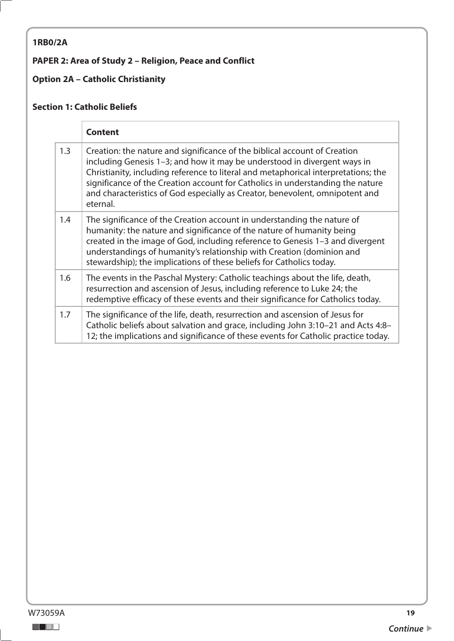## <span id="page-18-0"></span>**1RB0/2A**

## **PAPER 2: Area of Study 2 – Religion, Peace and Conflict**

## **Option 2A – Catholic Christianity**

#### **Section 1: Catholic Beliefs**

|     | <b>Content</b>                                                                                                                                                                                                                                                                                                                                                                                                            |
|-----|---------------------------------------------------------------------------------------------------------------------------------------------------------------------------------------------------------------------------------------------------------------------------------------------------------------------------------------------------------------------------------------------------------------------------|
| 1.3 | Creation: the nature and significance of the biblical account of Creation<br>including Genesis 1-3; and how it may be understood in divergent ways in<br>Christianity, including reference to literal and metaphorical interpretations; the<br>significance of the Creation account for Catholics in understanding the nature<br>and characteristics of God especially as Creator, benevolent, omnipotent and<br>eternal. |
| 1.4 | The significance of the Creation account in understanding the nature of<br>humanity: the nature and significance of the nature of humanity being<br>created in the image of God, including reference to Genesis 1-3 and divergent<br>understandings of humanity's relationship with Creation (dominion and<br>stewardship); the implications of these beliefs for Catholics today.                                        |
| 1.6 | The events in the Paschal Mystery: Catholic teachings about the life, death,<br>resurrection and ascension of Jesus, including reference to Luke 24; the<br>redemptive efficacy of these events and their significance for Catholics today.                                                                                                                                                                               |
| 1.7 | The significance of the life, death, resurrection and ascension of Jesus for<br>Catholic beliefs about salvation and grace, including John 3:10-21 and Acts 4:8-<br>12; the implications and significance of these events for Catholic practice today.                                                                                                                                                                    |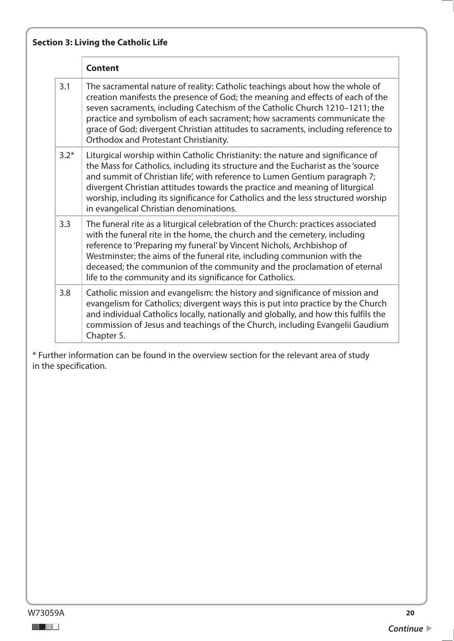|        | <b>Content</b>                                                                                                                                                                                                                                                                                                                                                                                                                                                     |
|--------|--------------------------------------------------------------------------------------------------------------------------------------------------------------------------------------------------------------------------------------------------------------------------------------------------------------------------------------------------------------------------------------------------------------------------------------------------------------------|
| 3.1    | The sacramental nature of reality: Catholic teachings about how the whole of<br>creation manifests the presence of God; the meaning and effects of each of the<br>seven sacraments, including Catechism of the Catholic Church 1210-1211; the<br>practice and symbolism of each sacrament; how sacraments communicate the<br>grace of God; divergent Christian attitudes to sacraments, including reference to<br>Orthodox and Protestant Christianity.            |
| $3.2*$ | Liturgical worship within Catholic Christianity: the nature and significance of<br>the Mass for Catholics, including its structure and the Eucharist as the 'source<br>and summit of Christian life', with reference to Lumen Gentium paragraph 7;<br>divergent Christian attitudes towards the practice and meaning of liturgical<br>worship, including its significance for Catholics and the less structured worship<br>in evangelical Christian denominations. |
| 3.3    | The funeral rite as a liturgical celebration of the Church: practices associated<br>with the funeral rite in the home, the church and the cemetery, including<br>reference to 'Preparing my funeral' by Vincent Nichols, Archbishop of<br>Westminster; the aims of the funeral rite, including communion with the<br>deceased; the communion of the community and the proclamation of eternal<br>life to the community and its significance for Catholics.         |
| 3.8    | Catholic mission and evangelism: the history and significance of mission and<br>evangelism for Catholics; divergent ways this is put into practice by the Church<br>and individual Catholics locally, nationally and globally, and how this fulfils the<br>commission of Jesus and teachings of the Church, including Evangelii Gaudium<br>Chapter 5.                                                                                                              |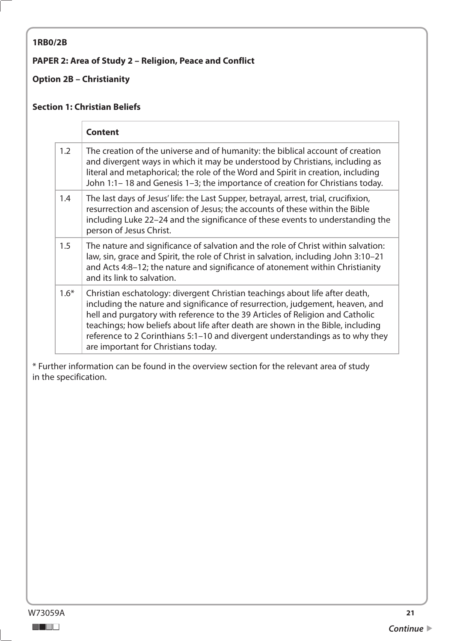#### <span id="page-20-0"></span>**1RB0/2B**

#### **PAPER 2: Area of Study 2 – Religion, Peace and Conflict**

## **Option 2B – Christianity**

#### **Section 1: Christian Beliefs**

|        | <b>Content</b>                                                                                                                                                                                                                                                                                                                                                                                                                                            |
|--------|-----------------------------------------------------------------------------------------------------------------------------------------------------------------------------------------------------------------------------------------------------------------------------------------------------------------------------------------------------------------------------------------------------------------------------------------------------------|
| 1.2    | The creation of the universe and of humanity: the biblical account of creation<br>and divergent ways in which it may be understood by Christians, including as<br>literal and metaphorical; the role of the Word and Spirit in creation, including<br>John 1:1-18 and Genesis 1-3; the importance of creation for Christians today.                                                                                                                       |
| 1.4    | The last days of Jesus' life: the Last Supper, betrayal, arrest, trial, crucifixion,<br>resurrection and ascension of Jesus; the accounts of these within the Bible<br>including Luke 22–24 and the significance of these events to understanding the<br>person of Jesus Christ.                                                                                                                                                                          |
| 1.5    | The nature and significance of salvation and the role of Christ within salvation:<br>law, sin, grace and Spirit, the role of Christ in salvation, including John 3:10-21<br>and Acts 4:8-12; the nature and significance of atonement within Christianity<br>and its link to salvation.                                                                                                                                                                   |
| $1.6*$ | Christian eschatology: divergent Christian teachings about life after death,<br>including the nature and significance of resurrection, judgement, heaven, and<br>hell and purgatory with reference to the 39 Articles of Religion and Catholic<br>teachings; how beliefs about life after death are shown in the Bible, including<br>reference to 2 Corinthians 5:1-10 and divergent understandings as to why they<br>are important for Christians today. |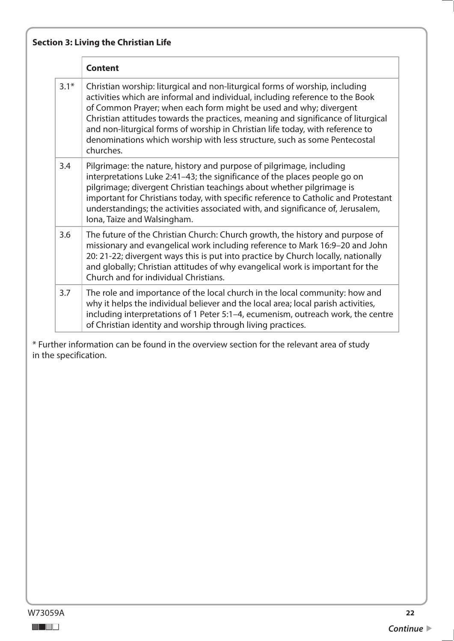|        | <b>Content</b>                                                                                                                                                                                                                                                                                                                                                                                                                                                                                      |
|--------|-----------------------------------------------------------------------------------------------------------------------------------------------------------------------------------------------------------------------------------------------------------------------------------------------------------------------------------------------------------------------------------------------------------------------------------------------------------------------------------------------------|
| $3.1*$ | Christian worship: liturgical and non-liturgical forms of worship, including<br>activities which are informal and individual, including reference to the Book<br>of Common Prayer; when each form might be used and why; divergent<br>Christian attitudes towards the practices, meaning and significance of liturgical<br>and non-liturgical forms of worship in Christian life today, with reference to<br>denominations which worship with less structure, such as some Pentecostal<br>churches. |
| 3.4    | Pilgrimage: the nature, history and purpose of pilgrimage, including<br>interpretations Luke 2:41-43; the significance of the places people go on<br>pilgrimage; divergent Christian teachings about whether pilgrimage is<br>important for Christians today, with specific reference to Catholic and Protestant<br>understandings; the activities associated with, and significance of, Jerusalem,<br>Iona, Taize and Walsingham.                                                                  |
| 3.6    | The future of the Christian Church: Church growth, the history and purpose of<br>missionary and evangelical work including reference to Mark 16:9-20 and John<br>20: 21-22; divergent ways this is put into practice by Church locally, nationally<br>and globally; Christian attitudes of why evangelical work is important for the<br>Church and for individual Christians.                                                                                                                       |
| 3.7    | The role and importance of the local church in the local community: how and<br>why it helps the individual believer and the local area; local parish activities,<br>including interpretations of 1 Peter 5:1-4, ecumenism, outreach work, the centre<br>of Christian identity and worship through living practices.                                                                                                                                                                                 |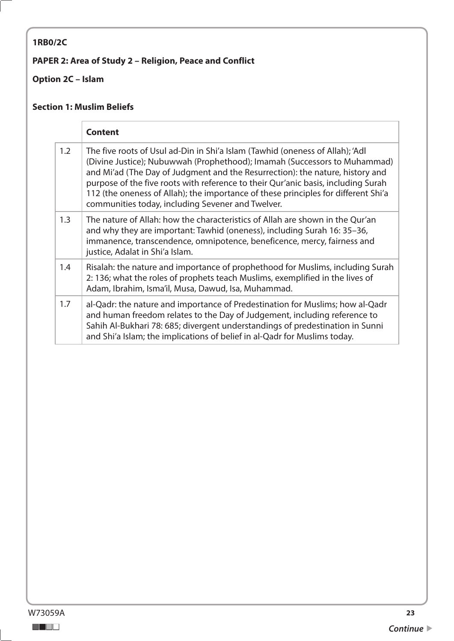# <span id="page-22-0"></span>**1RB0/2C**

## **PAPER 2: Area of Study 2 – Religion, Peace and Conflict**

## **Option 2C – Islam**

#### **Section 1: Muslim Beliefs**

|     | <b>Content</b>                                                                                                                                                                                                                                                                                                                                                                                                                                                              |
|-----|-----------------------------------------------------------------------------------------------------------------------------------------------------------------------------------------------------------------------------------------------------------------------------------------------------------------------------------------------------------------------------------------------------------------------------------------------------------------------------|
| 1.2 | The five roots of Usul ad-Din in Shi'a Islam (Tawhid (oneness of Allah); 'Adl<br>(Divine Justice); Nubuwwah (Prophethood); Imamah (Successors to Muhammad)<br>and Mi'ad (The Day of Judgment and the Resurrection): the nature, history and<br>purpose of the five roots with reference to their Qur'anic basis, including Surah<br>112 (the oneness of Allah); the importance of these principles for different Shi'a<br>communities today, including Sevener and Twelver. |
| 1.3 | The nature of Allah: how the characteristics of Allah are shown in the Qur'an<br>and why they are important: Tawhid (oneness), including Surah 16: 35–36,<br>immanence, transcendence, omnipotence, beneficence, mercy, fairness and<br>justice, Adalat in Shi'a Islam.                                                                                                                                                                                                     |
| 1.4 | Risalah: the nature and importance of prophethood for Muslims, including Surah<br>2: 136; what the roles of prophets teach Muslims, exemplified in the lives of<br>Adam, Ibrahim, Isma'il, Musa, Dawud, Isa, Muhammad.                                                                                                                                                                                                                                                      |
| 1.7 | al-Qadr: the nature and importance of Predestination for Muslims; how al-Qadr<br>and human freedom relates to the Day of Judgement, including reference to<br>Sahih Al-Bukhari 78: 685; divergent understandings of predestination in Sunni<br>and Shi'a Islam; the implications of belief in al-Qadr for Muslims today.                                                                                                                                                    |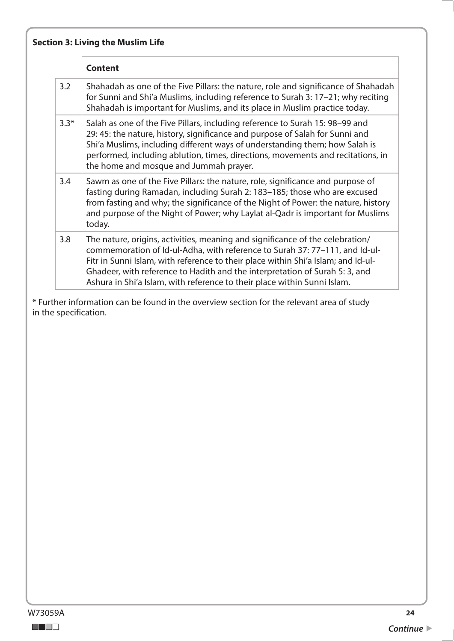|        | <b>Section 3: Living the Muslim Life</b>                                                                                                                                                                                                                                                                                                                                                                     |  |
|--------|--------------------------------------------------------------------------------------------------------------------------------------------------------------------------------------------------------------------------------------------------------------------------------------------------------------------------------------------------------------------------------------------------------------|--|
|        | <b>Content</b>                                                                                                                                                                                                                                                                                                                                                                                               |  |
| 3.2    | Shahadah as one of the Five Pillars: the nature, role and significance of Shahadah<br>for Sunni and Shi'a Muslims, including reference to Surah 3: 17-21; why reciting<br>Shahadah is important for Muslims, and its place in Muslim practice today.                                                                                                                                                         |  |
| $3.3*$ | Salah as one of the Five Pillars, including reference to Surah 15: 98-99 and<br>29: 45: the nature, history, significance and purpose of Salah for Sunni and<br>Shi'a Muslims, including different ways of understanding them; how Salah is<br>performed, including ablution, times, directions, movements and recitations, in<br>the home and mosque and Jummah prayer.                                     |  |
| 3.4    | Sawm as one of the Five Pillars: the nature, role, significance and purpose of<br>fasting during Ramadan, including Surah 2: 183-185; those who are excused<br>from fasting and why; the significance of the Night of Power: the nature, history<br>and purpose of the Night of Power; why Laylat al-Qadr is important for Muslims<br>today.                                                                 |  |
| 3.8    | The nature, origins, activities, meaning and significance of the celebration/<br>commemoration of Id-ul-Adha, with reference to Surah 37: 77-111, and Id-ul-<br>Fitr in Sunni Islam, with reference to their place within Shi'a Islam; and Id-ul-<br>Ghadeer, with reference to Hadith and the interpretation of Surah 5: 3, and<br>Ashura in Shi'a Islam, with reference to their place within Sunni Islam. |  |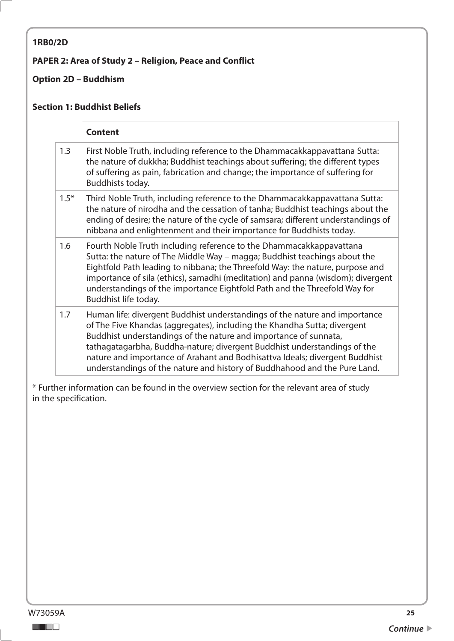#### <span id="page-24-0"></span>**1RB0/2D**

#### **PAPER 2: Area of Study 2 – Religion, Peace and Conflict**

#### **Option 2D – Buddhism**

#### **Section 1: Buddhist Beliefs**

|        | <b>Content</b>                                                                                                                                                                                                                                                                                                                                                                                                                                                     |
|--------|--------------------------------------------------------------------------------------------------------------------------------------------------------------------------------------------------------------------------------------------------------------------------------------------------------------------------------------------------------------------------------------------------------------------------------------------------------------------|
| 1.3    | First Noble Truth, including reference to the Dhammacakkappavattana Sutta:<br>the nature of dukkha; Buddhist teachings about suffering; the different types<br>of suffering as pain, fabrication and change; the importance of suffering for<br>Buddhists today.                                                                                                                                                                                                   |
| $1.5*$ | Third Noble Truth, including reference to the Dhammacakkappavattana Sutta:<br>the nature of nirodha and the cessation of tanha; Buddhist teachings about the<br>ending of desire; the nature of the cycle of samsara; different understandings of<br>nibbana and enlightenment and their importance for Buddhists today.                                                                                                                                           |
| 1.6    | Fourth Noble Truth including reference to the Dhammacakkappavattana<br>Sutta: the nature of The Middle Way - magga; Buddhist teachings about the<br>Eightfold Path leading to nibbana; the Threefold Way: the nature, purpose and<br>importance of sila (ethics), samadhi (meditation) and panna (wisdom); divergent<br>understandings of the importance Eightfold Path and the Threefold Way for<br>Buddhist life today.                                          |
| 1.7    | Human life: divergent Buddhist understandings of the nature and importance<br>of The Five Khandas (aggregates), including the Khandha Sutta; divergent<br>Buddhist understandings of the nature and importance of sunnata,<br>tathagatagarbha, Buddha-nature; divergent Buddhist understandings of the<br>nature and importance of Arahant and Bodhisattva Ideals; divergent Buddhist<br>understandings of the nature and history of Buddhahood and the Pure Land. |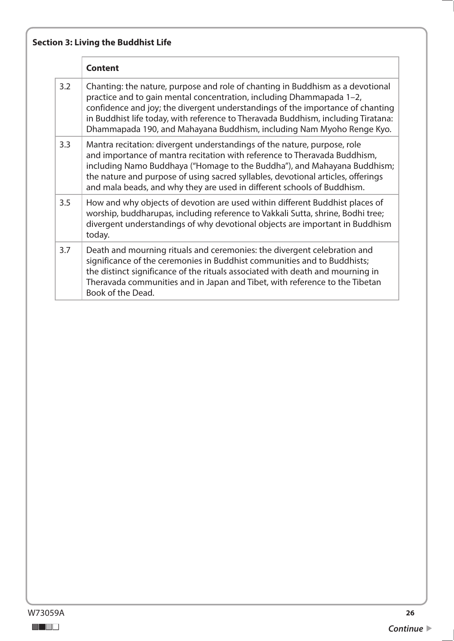|     | <b>Content</b>                                                                                                                                                                                                                                                                                                                                                                                         |
|-----|--------------------------------------------------------------------------------------------------------------------------------------------------------------------------------------------------------------------------------------------------------------------------------------------------------------------------------------------------------------------------------------------------------|
| 3.2 | Chanting: the nature, purpose and role of chanting in Buddhism as a devotional<br>practice and to gain mental concentration, including Dhammapada 1-2,<br>confidence and joy; the divergent understandings of the importance of chanting<br>in Buddhist life today, with reference to Theravada Buddhism, including Tiratana:<br>Dhammapada 190, and Mahayana Buddhism, including Nam Myoho Renge Kyo. |
| 3.3 | Mantra recitation: divergent understandings of the nature, purpose, role<br>and importance of mantra recitation with reference to Theravada Buddhism,<br>including Namo Buddhaya ("Homage to the Buddha"), and Mahayana Buddhism;<br>the nature and purpose of using sacred syllables, devotional articles, offerings<br>and mala beads, and why they are used in different schools of Buddhism.       |
| 3.5 | How and why objects of devotion are used within different Buddhist places of<br>worship, buddharupas, including reference to Vakkali Sutta, shrine, Bodhi tree;<br>divergent understandings of why devotional objects are important in Buddhism<br>today.                                                                                                                                              |
| 3.7 | Death and mourning rituals and ceremonies: the divergent celebration and<br>significance of the ceremonies in Buddhist communities and to Buddhists;<br>the distinct significance of the rituals associated with death and mourning in<br>Theravada communities and in Japan and Tibet, with reference to the Tibetan<br>Book of the Dead.                                                             |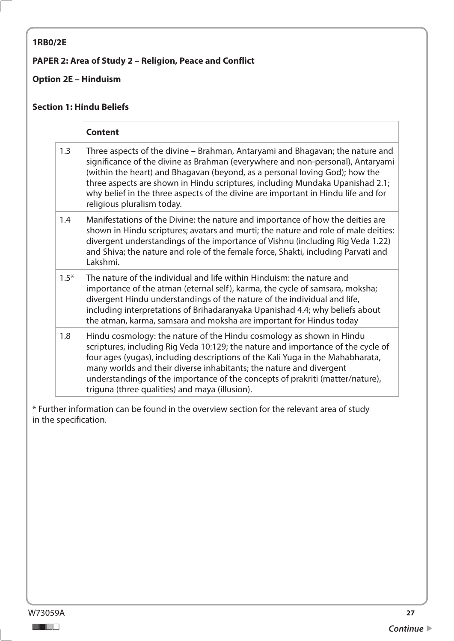#### <span id="page-26-0"></span>**1RB0/2E**

#### **PAPER 2: Area of Study 2 – Religion, Peace and Conflict**

#### **Option 2E – Hinduism**

#### **Section 1: Hindu Beliefs**

|        | <b>Content</b>                                                                                                                                                                                                                                                                                                                                                                                                                                       |
|--------|------------------------------------------------------------------------------------------------------------------------------------------------------------------------------------------------------------------------------------------------------------------------------------------------------------------------------------------------------------------------------------------------------------------------------------------------------|
| 1.3    | Three aspects of the divine – Brahman, Antaryami and Bhagavan; the nature and<br>significance of the divine as Brahman (everywhere and non-personal), Antaryami<br>(within the heart) and Bhagavan (beyond, as a personal loving God); how the<br>three aspects are shown in Hindu scriptures, including Mundaka Upanishad 2.1;<br>why belief in the three aspects of the divine are important in Hindu life and for<br>religious pluralism today.   |
| 1.4    | Manifestations of the Divine: the nature and importance of how the deities are<br>shown in Hindu scriptures; avatars and murti; the nature and role of male deities:<br>divergent understandings of the importance of Vishnu (including Rig Veda 1.22)<br>and Shiva; the nature and role of the female force, Shakti, including Parvati and<br>Lakshmi.                                                                                              |
| $1.5*$ | The nature of the individual and life within Hinduism: the nature and<br>importance of the atman (eternal self), karma, the cycle of samsara, moksha;<br>divergent Hindu understandings of the nature of the individual and life,<br>including interpretations of Brihadaranyaka Upanishad 4.4; why beliefs about<br>the atman, karma, samsara and moksha are important for Hindus today                                                             |
| 1.8    | Hindu cosmology: the nature of the Hindu cosmology as shown in Hindu<br>scriptures, including Rig Veda 10:129; the nature and importance of the cycle of<br>four ages (yugas), including descriptions of the Kali Yuga in the Mahabharata,<br>many worlds and their diverse inhabitants; the nature and divergent<br>understandings of the importance of the concepts of prakriti (matter/nature),<br>triguna (three qualities) and maya (illusion). |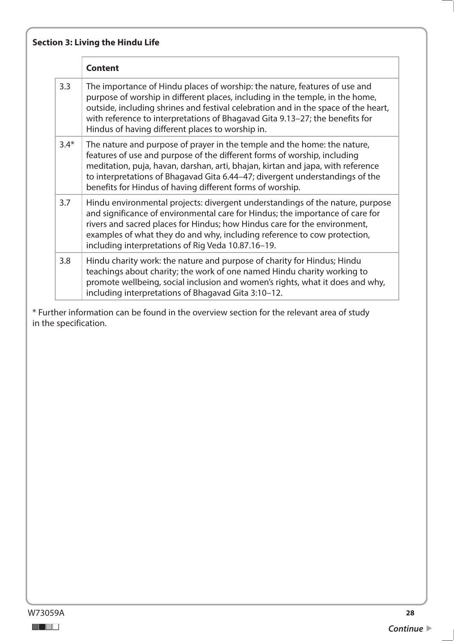|        | <b>Content</b>                                                                                                                                                                                                                                                                                                                                                                        |
|--------|---------------------------------------------------------------------------------------------------------------------------------------------------------------------------------------------------------------------------------------------------------------------------------------------------------------------------------------------------------------------------------------|
| 3.3    | The importance of Hindu places of worship: the nature, features of use and<br>purpose of worship in different places, including in the temple, in the home,<br>outside, including shrines and festival celebration and in the space of the heart,<br>with reference to interpretations of Bhagavad Gita 9.13-27; the benefits for<br>Hindus of having different places to worship in. |
| $3.4*$ | The nature and purpose of prayer in the temple and the home: the nature,<br>features of use and purpose of the different forms of worship, including<br>meditation, puja, havan, darshan, arti, bhajan, kirtan and japa, with reference<br>to interpretations of Bhagavad Gita 6.44-47; divergent understandings of the<br>benefits for Hindus of having different forms of worship.  |
| 3.7    | Hindu environmental projects: divergent understandings of the nature, purpose<br>and significance of environmental care for Hindus; the importance of care for<br>rivers and sacred places for Hindus; how Hindus care for the environment,<br>examples of what they do and why, including reference to cow protection,<br>including interpretations of Rig Veda 10.87.16-19.         |
| 3.8    | Hindu charity work: the nature and purpose of charity for Hindus; Hindu<br>teachings about charity; the work of one named Hindu charity working to<br>promote wellbeing, social inclusion and women's rights, what it does and why,<br>including interpretations of Bhagavad Gita 3:10-12.                                                                                            |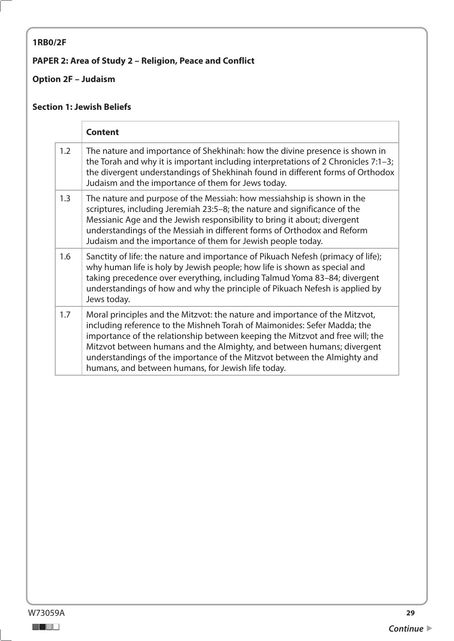# <span id="page-28-0"></span>**1RB0/2F**

## **PAPER 2: Area of Study 2 – Religion, Peace and Conflict**

## **Option 2F – Judaism**

#### **Section 1: Jewish Beliefs**

|     | <b>Content</b>                                                                                                                                                                                                                                                                                                                                                                                                                                       |
|-----|------------------------------------------------------------------------------------------------------------------------------------------------------------------------------------------------------------------------------------------------------------------------------------------------------------------------------------------------------------------------------------------------------------------------------------------------------|
| 1.2 | The nature and importance of Shekhinah: how the divine presence is shown in<br>the Torah and why it is important including interpretations of 2 Chronicles $7:1-3$ ;<br>the divergent understandings of Shekhinah found in different forms of Orthodox<br>Judaism and the importance of them for Jews today.                                                                                                                                         |
| 1.3 | The nature and purpose of the Messiah: how messiahship is shown in the<br>scriptures, including Jeremiah 23:5-8; the nature and significance of the<br>Messianic Age and the Jewish responsibility to bring it about; divergent<br>understandings of the Messiah in different forms of Orthodox and Reform<br>Judaism and the importance of them for Jewish people today.                                                                            |
| 1.6 | Sanctity of life: the nature and importance of Pikuach Nefesh (primacy of life);<br>why human life is holy by Jewish people; how life is shown as special and<br>taking precedence over everything, including Talmud Yoma 83-84; divergent<br>understandings of how and why the principle of Pikuach Nefesh is applied by<br>Jews today.                                                                                                             |
| 1.7 | Moral principles and the Mitzvot: the nature and importance of the Mitzvot,<br>including reference to the Mishneh Torah of Maimonides: Sefer Madda; the<br>importance of the relationship between keeping the Mitzvot and free will; the<br>Mitzvot between humans and the Almighty, and between humans; divergent<br>understandings of the importance of the Mitzvot between the Almighty and<br>humans, and between humans, for Jewish life today. |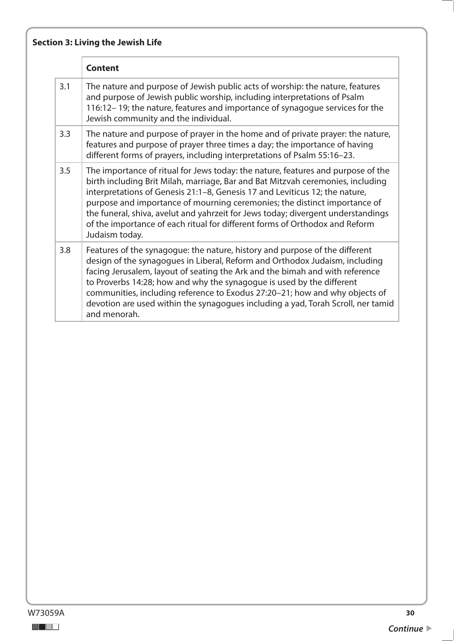# **Section 3: Living the Jewish Life**

|     | <b>Content</b>                                                                                                                                                                                                                                                                                                                                                                                                                                                                                                       |
|-----|----------------------------------------------------------------------------------------------------------------------------------------------------------------------------------------------------------------------------------------------------------------------------------------------------------------------------------------------------------------------------------------------------------------------------------------------------------------------------------------------------------------------|
| 3.1 | The nature and purpose of Jewish public acts of worship: the nature, features<br>and purpose of Jewish public worship, including interpretations of Psalm<br>116:12-19; the nature, features and importance of synagogue services for the<br>Jewish community and the individual.                                                                                                                                                                                                                                    |
| 3.3 | The nature and purpose of prayer in the home and of private prayer: the nature,<br>features and purpose of prayer three times a day; the importance of having<br>different forms of prayers, including interpretations of Psalm 55:16-23.                                                                                                                                                                                                                                                                            |
| 3.5 | The importance of ritual for Jews today: the nature, features and purpose of the<br>birth including Brit Milah, marriage, Bar and Bat Mitzvah ceremonies, including<br>interpretations of Genesis 21:1-8, Genesis 17 and Leviticus 12; the nature,<br>purpose and importance of mourning ceremonies; the distinct importance of<br>the funeral, shiva, avelut and yahrzeit for Jews today; divergent understandings<br>of the importance of each ritual for different forms of Orthodox and Reform<br>Judaism today. |
| 3.8 | Features of the synagogue: the nature, history and purpose of the different<br>design of the synagogues in Liberal, Reform and Orthodox Judaism, including<br>facing Jerusalem, layout of seating the Ark and the bimah and with reference<br>to Proverbs 14:28; how and why the synagogue is used by the different<br>communities, including reference to Exodus 27:20-21; how and why objects of<br>devotion are used within the synagogues including a yad, Torah Scroll, ner tamid<br>and menorah.               |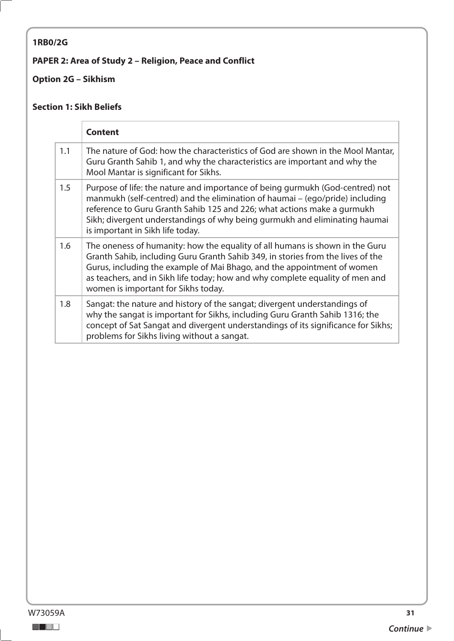## <span id="page-30-0"></span>**1RB0/2G**

## **PAPER 2: Area of Study 2 – Religion, Peace and Conflict**

## **Option 2G – Sikhism**

#### **Section 1: Sikh Beliefs**

|     | <b>Content</b>                                                                                                                                                                                                                                                                                                                                                     |
|-----|--------------------------------------------------------------------------------------------------------------------------------------------------------------------------------------------------------------------------------------------------------------------------------------------------------------------------------------------------------------------|
| 1.1 | The nature of God: how the characteristics of God are shown in the Mool Mantar,<br>Guru Granth Sahib 1, and why the characteristics are important and why the<br>Mool Mantar is significant for Sikhs.                                                                                                                                                             |
| 1.5 | Purpose of life: the nature and importance of being gurmukh (God-centred) not<br>manmukh (self-centred) and the elimination of haumai – (ego/pride) including<br>reference to Guru Granth Sahib 125 and 226; what actions make a gurmukh<br>Sikh; divergent understandings of why being gurmukh and eliminating haumai<br>is important in Sikh life today.         |
| 1.6 | The oneness of humanity: how the equality of all humans is shown in the Guru<br>Granth Sahib, including Guru Granth Sahib 349, in stories from the lives of the<br>Gurus, including the example of Mai Bhago, and the appointment of women<br>as teachers, and in Sikh life today; how and why complete equality of men and<br>women is important for Sikhs today. |
| 1.8 | Sangat: the nature and history of the sangat; divergent understandings of<br>why the sangat is important for Sikhs, including Guru Granth Sahib 1316; the<br>concept of Sat Sangat and divergent understandings of its significance for Sikhs;<br>problems for Sikhs living without a sangat.                                                                      |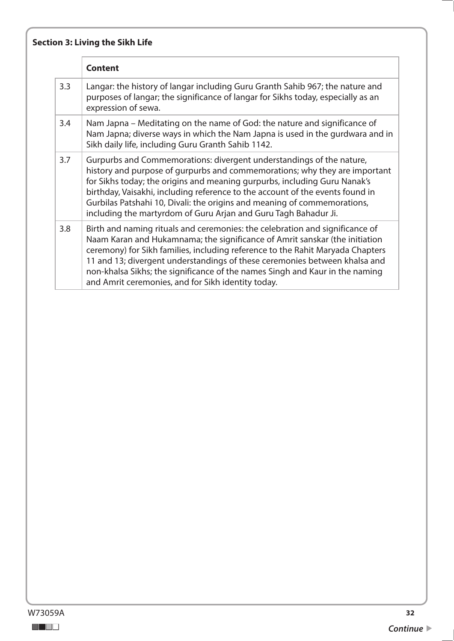# **Section 3: Living the Sikh Life**

|     | <b>Content</b>                                                                                                                                                                                                                                                                                                                                                                                                                                                    |
|-----|-------------------------------------------------------------------------------------------------------------------------------------------------------------------------------------------------------------------------------------------------------------------------------------------------------------------------------------------------------------------------------------------------------------------------------------------------------------------|
| 3.3 | Langar: the history of langar including Guru Granth Sahib 967; the nature and<br>purposes of langar; the significance of langar for Sikhs today, especially as an<br>expression of sewa.                                                                                                                                                                                                                                                                          |
| 3.4 | Nam Japna – Meditating on the name of God: the nature and significance of<br>Nam Japna; diverse ways in which the Nam Japna is used in the gurdwara and in<br>Sikh daily life, including Guru Granth Sahib 1142.                                                                                                                                                                                                                                                  |
| 3.7 | Gurpurbs and Commemorations: divergent understandings of the nature,<br>history and purpose of gurpurbs and commemorations; why they are important<br>for Sikhs today; the origins and meaning gurpurbs, including Guru Nanak's<br>birthday, Vaisakhi, including reference to the account of the events found in<br>Gurbilas Patshahi 10, Divali: the origins and meaning of commemorations,<br>including the martyrdom of Guru Arjan and Guru Tagh Bahadur Ji.   |
| 3.8 | Birth and naming rituals and ceremonies: the celebration and significance of<br>Naam Karan and Hukamnama; the significance of Amrit sanskar (the initiation<br>ceremony) for Sikh families, including reference to the Rahit Maryada Chapters<br>11 and 13; divergent understandings of these ceremonies between khalsa and<br>non-khalsa Sikhs; the significance of the names Singh and Kaur in the naming<br>and Amrit ceremonies, and for Sikh identity today. |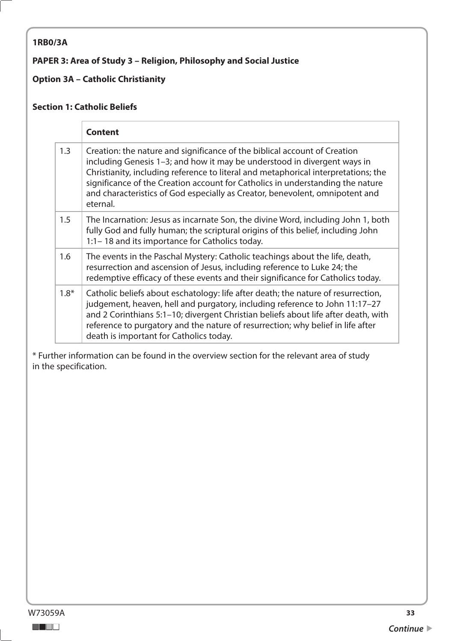#### <span id="page-32-0"></span>**1RB0/3A**

#### **PAPER 3: Area of Study 3 – Religion, Philosophy and Social Justice**

#### **Option 3A – Catholic Christianity**

#### **Section 1: Catholic Beliefs**

|        | <b>Content</b>                                                                                                                                                                                                                                                                                                                                                                                                            |
|--------|---------------------------------------------------------------------------------------------------------------------------------------------------------------------------------------------------------------------------------------------------------------------------------------------------------------------------------------------------------------------------------------------------------------------------|
| 1.3    | Creation: the nature and significance of the biblical account of Creation<br>including Genesis 1-3; and how it may be understood in divergent ways in<br>Christianity, including reference to literal and metaphorical interpretations; the<br>significance of the Creation account for Catholics in understanding the nature<br>and characteristics of God especially as Creator, benevolent, omnipotent and<br>eternal. |
| 1.5    | The Incarnation: Jesus as incarnate Son, the divine Word, including John 1, both<br>fully God and fully human; the scriptural origins of this belief, including John<br>1:1 – 18 and its importance for Catholics today.                                                                                                                                                                                                  |
| 1.6    | The events in the Paschal Mystery: Catholic teachings about the life, death,<br>resurrection and ascension of Jesus, including reference to Luke 24; the<br>redemptive efficacy of these events and their significance for Catholics today.                                                                                                                                                                               |
| $1.8*$ | Catholic beliefs about eschatology: life after death; the nature of resurrection,<br>judgement, heaven, hell and purgatory, including reference to John 11:17-27<br>and 2 Corinthians 5:1-10; divergent Christian beliefs about life after death, with<br>reference to purgatory and the nature of resurrection; why belief in life after<br>death is important for Catholics today.                                      |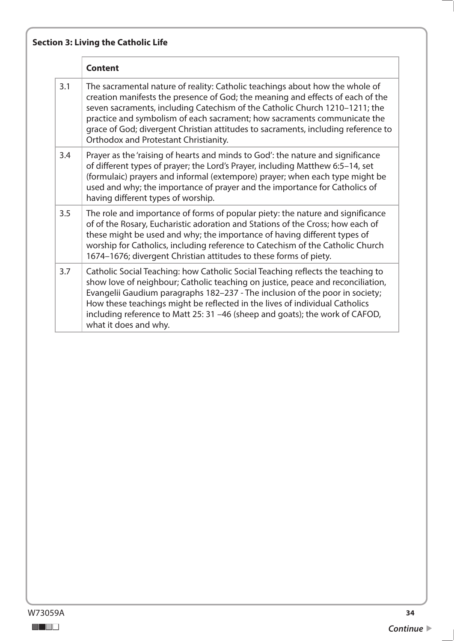|     | <b>Content</b>                                                                                                                                                                                                                                                                                                                                                                                                                                          |
|-----|---------------------------------------------------------------------------------------------------------------------------------------------------------------------------------------------------------------------------------------------------------------------------------------------------------------------------------------------------------------------------------------------------------------------------------------------------------|
| 3.1 | The sacramental nature of reality: Catholic teachings about how the whole of<br>creation manifests the presence of God; the meaning and effects of each of the<br>seven sacraments, including Catechism of the Catholic Church 1210-1211; the<br>practice and symbolism of each sacrament; how sacraments communicate the<br>grace of God; divergent Christian attitudes to sacraments, including reference to<br>Orthodox and Protestant Christianity. |
| 3.4 | Prayer as the 'raising of hearts and minds to God': the nature and significance<br>of different types of prayer; the Lord's Prayer, including Matthew 6:5-14, set<br>(formulaic) prayers and informal (extempore) prayer; when each type might be<br>used and why; the importance of prayer and the importance for Catholics of<br>having different types of worship.                                                                                   |
| 3.5 | The role and importance of forms of popular piety: the nature and significance<br>of of the Rosary, Eucharistic adoration and Stations of the Cross; how each of<br>these might be used and why; the importance of having different types of<br>worship for Catholics, including reference to Catechism of the Catholic Church<br>1674-1676; divergent Christian attitudes to these forms of piety.                                                     |
| 3.7 | Catholic Social Teaching: how Catholic Social Teaching reflects the teaching to<br>show love of neighbour; Catholic teaching on justice, peace and reconciliation,<br>Evangelii Gaudium paragraphs 182-237 - The inclusion of the poor in society;<br>How these teachings might be reflected in the lives of individual Catholics<br>including reference to Matt 25: 31 -46 (sheep and goats); the work of CAFOD,<br>what it does and why.              |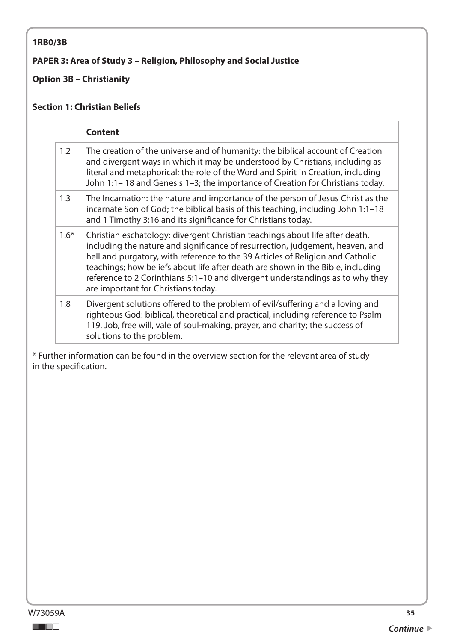#### <span id="page-34-0"></span>**1RB0/3B**

#### **PAPER 3: Area of Study 3 – Religion, Philosophy and Social Justice**

#### **Option 3B – Christianity**

#### **Section 1: Christian Beliefs**

|        | <b>Content</b>                                                                                                                                                                                                                                                                                                                                                                                                                                             |
|--------|------------------------------------------------------------------------------------------------------------------------------------------------------------------------------------------------------------------------------------------------------------------------------------------------------------------------------------------------------------------------------------------------------------------------------------------------------------|
| 1.2    | The creation of the universe and of humanity: the biblical account of Creation<br>and divergent ways in which it may be understood by Christians, including as<br>literal and metaphorical; the role of the Word and Spirit in Creation, including<br>John 1:1-18 and Genesis 1-3; the importance of Creation for Christians today.                                                                                                                        |
| 1.3    | The Incarnation: the nature and importance of the person of Jesus Christ as the<br>incarnate Son of God; the biblical basis of this teaching, including John 1:1-18<br>and 1 Timothy 3:16 and its significance for Christians today.                                                                                                                                                                                                                       |
| $1.6*$ | Christian eschatology: divergent Christian teachings about life after death,<br>including the nature and significance of resurrection, judgement, heaven, and<br>hell and purgatory, with reference to the 39 Articles of Religion and Catholic<br>teachings; how beliefs about life after death are shown in the Bible, including<br>reference to 2 Corinthians 5:1-10 and divergent understandings as to why they<br>are important for Christians today. |
| 1.8    | Divergent solutions offered to the problem of evil/suffering and a loving and<br>righteous God: biblical, theoretical and practical, including reference to Psalm<br>119, Job, free will, vale of soul-making, prayer, and charity; the success of<br>solutions to the problem.                                                                                                                                                                            |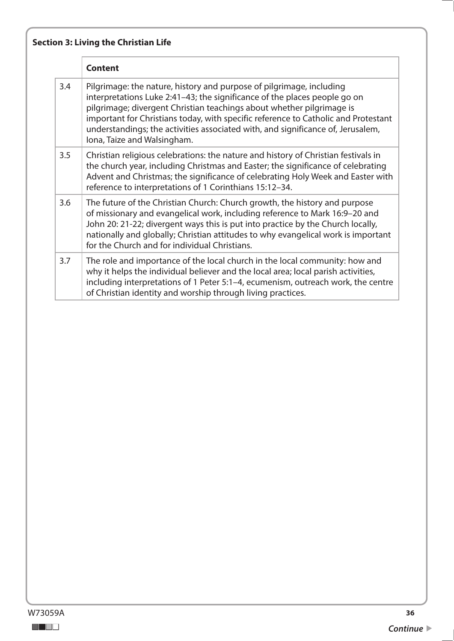|     | <b>Content</b>                                                                                                                                                                                                                                                                                                                                                                                                                     |
|-----|------------------------------------------------------------------------------------------------------------------------------------------------------------------------------------------------------------------------------------------------------------------------------------------------------------------------------------------------------------------------------------------------------------------------------------|
| 3.4 | Pilgrimage: the nature, history and purpose of pilgrimage, including<br>interpretations Luke 2:41-43; the significance of the places people go on<br>pilgrimage; divergent Christian teachings about whether pilgrimage is<br>important for Christians today, with specific reference to Catholic and Protestant<br>understandings; the activities associated with, and significance of, Jerusalem,<br>Iona, Taize and Walsingham. |
| 3.5 | Christian religious celebrations: the nature and history of Christian festivals in<br>the church year, including Christmas and Easter; the significance of celebrating<br>Advent and Christmas; the significance of celebrating Holy Week and Easter with<br>reference to interpretations of 1 Corinthians 15:12-34.                                                                                                               |
| 3.6 | The future of the Christian Church: Church growth, the history and purpose<br>of missionary and evangelical work, including reference to Mark 16:9-20 and<br>John 20: 21-22; divergent ways this is put into practice by the Church locally,<br>nationally and globally; Christian attitudes to why evangelical work is important<br>for the Church and for individual Christians.                                                 |
| 3.7 | The role and importance of the local church in the local community: how and<br>why it helps the individual believer and the local area; local parish activities,<br>including interpretations of 1 Peter 5:1-4, ecumenism, outreach work, the centre<br>of Christian identity and worship through living practices.                                                                                                                |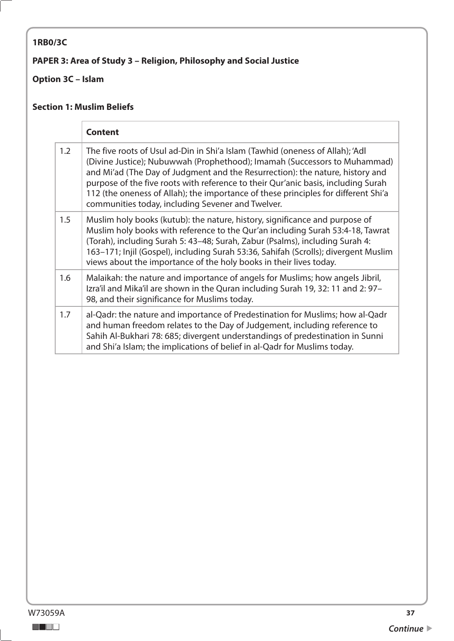## <span id="page-36-0"></span>**1RB0/3C**

## **PAPER 3: Area of Study 3 – Religion, Philosophy and Social Justice**

## **Option 3C – Islam**

#### **Section 1: Muslim Beliefs**

|     | <b>Content</b>                                                                                                                                                                                                                                                                                                                                                                                                                                                              |
|-----|-----------------------------------------------------------------------------------------------------------------------------------------------------------------------------------------------------------------------------------------------------------------------------------------------------------------------------------------------------------------------------------------------------------------------------------------------------------------------------|
| 1.2 | The five roots of Usul ad-Din in Shi'a Islam (Tawhid (oneness of Allah); 'Adl<br>(Divine Justice); Nubuwwah (Prophethood); Imamah (Successors to Muhammad)<br>and Mi'ad (The Day of Judgment and the Resurrection): the nature, history and<br>purpose of the five roots with reference to their Qur'anic basis, including Surah<br>112 (the oneness of Allah); the importance of these principles for different Shi'a<br>communities today, including Sevener and Twelver. |
| 1.5 | Muslim holy books (kutub): the nature, history, significance and purpose of<br>Muslim holy books with reference to the Qur'an including Surah 53:4-18, Tawrat<br>(Torah), including Surah 5: 43-48; Surah, Zabur (Psalms), including Surah 4:<br>163-171; Injil (Gospel), including Surah 53:36, Sahifah (Scrolls); divergent Muslim<br>views about the importance of the holy books in their lives today.                                                                  |
| 1.6 | Malaikah: the nature and importance of angels for Muslims; how angels Jibril,<br>Izra'il and Mika'il are shown in the Quran including Surah 19, 32: 11 and 2: 97-<br>98, and their significance for Muslims today.                                                                                                                                                                                                                                                          |
| 1.7 | al-Qadr: the nature and importance of Predestination for Muslims; how al-Qadr<br>and human freedom relates to the Day of Judgement, including reference to<br>Sahih Al-Bukhari 78: 685; divergent understandings of predestination in Sunni<br>and Shi'a Islam; the implications of belief in al-Qadr for Muslims today.                                                                                                                                                    |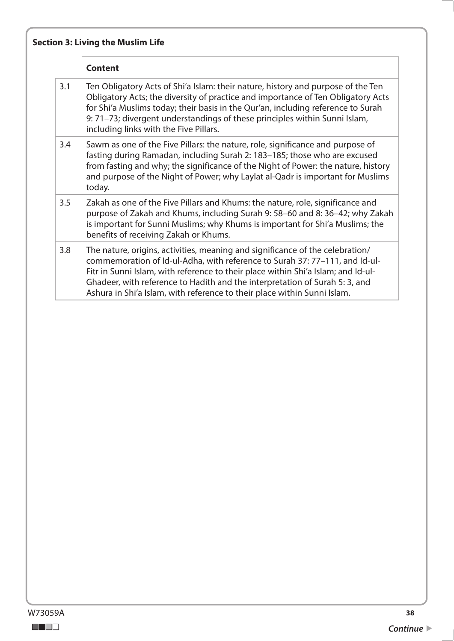# **Section 3: Living the Muslim Life**

|     | <b>Content</b>                                                                                                                                                                                                                                                                                                                                                                                               |
|-----|--------------------------------------------------------------------------------------------------------------------------------------------------------------------------------------------------------------------------------------------------------------------------------------------------------------------------------------------------------------------------------------------------------------|
| 3.1 | Ten Obligatory Acts of Shi'a Islam: their nature, history and purpose of the Ten<br>Obligatory Acts; the diversity of practice and importance of Ten Obligatory Acts<br>for Shi'a Muslims today; their basis in the Qur'an, including reference to Surah<br>9: 71-73; divergent understandings of these principles within Sunni Islam,<br>including links with the Five Pillars.                             |
| 3.4 | Sawm as one of the Five Pillars: the nature, role, significance and purpose of<br>fasting during Ramadan, including Surah 2: 183-185; those who are excused<br>from fasting and why; the significance of the Night of Power: the nature, history<br>and purpose of the Night of Power; why Laylat al-Qadr is important for Muslims<br>today.                                                                 |
| 3.5 | Zakah as one of the Five Pillars and Khums: the nature, role, significance and<br>purpose of Zakah and Khums, including Surah 9: 58-60 and 8: 36-42; why Zakah<br>is important for Sunni Muslims; why Khums is important for Shi'a Muslims; the<br>benefits of receiving Zakah or Khums.                                                                                                                     |
| 3.8 | The nature, origins, activities, meaning and significance of the celebration/<br>commemoration of Id-ul-Adha, with reference to Surah 37: 77-111, and Id-ul-<br>Fitr in Sunni Islam, with reference to their place within Shi'a Islam; and Id-ul-<br>Ghadeer, with reference to Hadith and the interpretation of Surah 5: 3, and<br>Ashura in Shi'a Islam, with reference to their place within Sunni Islam. |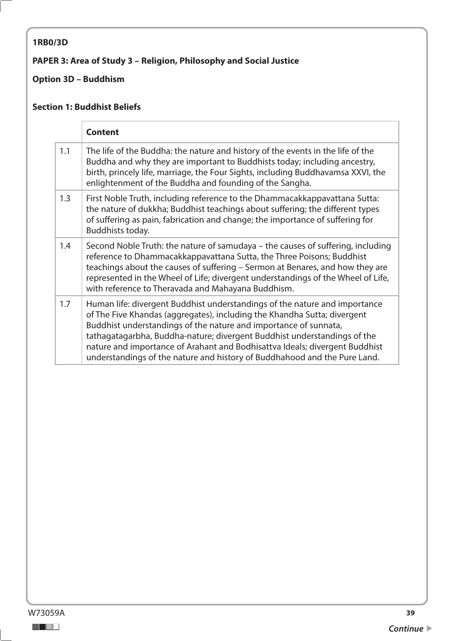#### <span id="page-38-0"></span>**1RB0/3D**

## **PAPER 3: Area of Study 3 – Religion, Philosophy and Social Justice**

## **Option 3D – Buddhism**

#### **Section 1: Buddhist Beliefs**

|     | <b>Content</b>                                                                                                                                                                                                                                                                                                                                                                                                                                                     |
|-----|--------------------------------------------------------------------------------------------------------------------------------------------------------------------------------------------------------------------------------------------------------------------------------------------------------------------------------------------------------------------------------------------------------------------------------------------------------------------|
| 1.1 | The life of the Buddha: the nature and history of the events in the life of the<br>Buddha and why they are important to Buddhists today; including ancestry,<br>birth, princely life, marriage, the Four Sights, including Buddhavamsa XXVI, the<br>enlightenment of the Buddha and founding of the Sangha.                                                                                                                                                        |
| 1.3 | First Noble Truth, including reference to the Dhammacakkappavattana Sutta:<br>the nature of dukkha; Buddhist teachings about suffering; the different types<br>of suffering as pain, fabrication and change; the importance of suffering for<br>Buddhists today.                                                                                                                                                                                                   |
| 1.4 | Second Noble Truth: the nature of samudaya – the causes of suffering, including<br>reference to Dhammacakkappavattana Sutta, the Three Poisons; Buddhist<br>teachings about the causes of suffering - Sermon at Benares, and how they are<br>represented in the Wheel of Life; divergent understandings of the Wheel of Life,<br>with reference to Theravada and Mahayana Buddhism.                                                                                |
| 1.7 | Human life: divergent Buddhist understandings of the nature and importance<br>of The Five Khandas (aggregates), including the Khandha Sutta; divergent<br>Buddhist understandings of the nature and importance of sunnata,<br>tathagatagarbha, Buddha-nature; divergent Buddhist understandings of the<br>nature and importance of Arahant and Bodhisattva Ideals; divergent Buddhist<br>understandings of the nature and history of Buddhahood and the Pure Land. |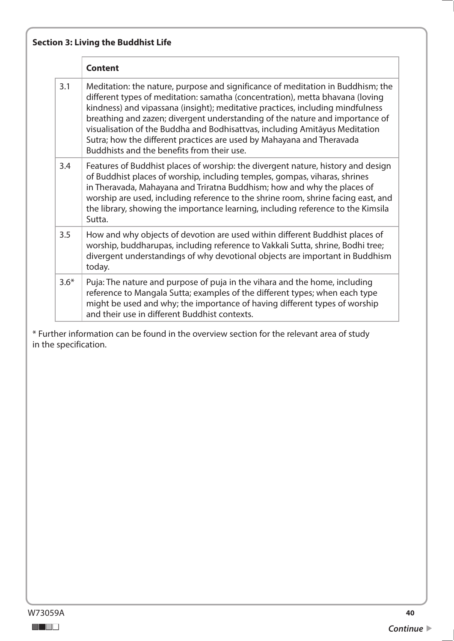|        | <b>Content</b>                                                                                                                                                                                                                                                                                                                                                                                                                                                                                                                           |
|--------|------------------------------------------------------------------------------------------------------------------------------------------------------------------------------------------------------------------------------------------------------------------------------------------------------------------------------------------------------------------------------------------------------------------------------------------------------------------------------------------------------------------------------------------|
| 3.1    | Meditation: the nature, purpose and significance of meditation in Buddhism; the<br>different types of meditation: samatha (concentration), metta bhavana (loving<br>kindness) and vipassana (insight); meditative practices, including mindfulness<br>breathing and zazen; divergent understanding of the nature and importance of<br>visualisation of the Buddha and Bodhisattvas, including Amitayus Meditation<br>Sutra; how the different practices are used by Mahayana and Theravada<br>Buddhists and the benefits from their use. |
| 3.4    | Features of Buddhist places of worship: the divergent nature, history and design<br>of Buddhist places of worship, including temples, gompas, viharas, shrines<br>in Theravada, Mahayana and Triratna Buddhism; how and why the places of<br>worship are used, including reference to the shrine room, shrine facing east, and<br>the library, showing the importance learning, including reference to the Kimsila<br>Sutta.                                                                                                             |
| 3.5    | How and why objects of devotion are used within different Buddhist places of<br>worship, buddharupas, including reference to Vakkali Sutta, shrine, Bodhi tree;<br>divergent understandings of why devotional objects are important in Buddhism<br>today.                                                                                                                                                                                                                                                                                |
| $3.6*$ | Puja: The nature and purpose of puja in the vihara and the home, including<br>reference to Mangala Sutta; examples of the different types; when each type<br>might be used and why; the importance of having different types of worship<br>and their use in different Buddhist contexts.                                                                                                                                                                                                                                                 |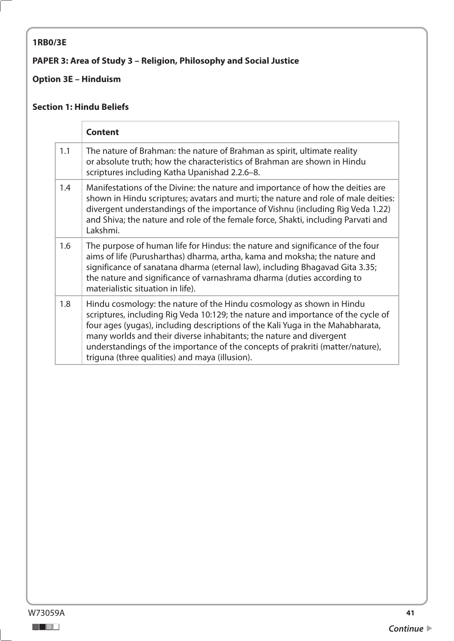## <span id="page-40-0"></span>**1RB0/3E**

## **PAPER 3: Area of Study 3 – Religion, Philosophy and Social Justice**

## **Option 3E – Hinduism**

#### **Section 1: Hindu Beliefs**

|     | <b>Content</b>                                                                                                                                                                                                                                                                                                                                                                                                                                       |
|-----|------------------------------------------------------------------------------------------------------------------------------------------------------------------------------------------------------------------------------------------------------------------------------------------------------------------------------------------------------------------------------------------------------------------------------------------------------|
| 1.1 | The nature of Brahman: the nature of Brahman as spirit, ultimate reality<br>or absolute truth; how the characteristics of Brahman are shown in Hindu<br>scriptures including Katha Upanishad 2.2.6-8.                                                                                                                                                                                                                                                |
| 1.4 | Manifestations of the Divine: the nature and importance of how the deities are<br>shown in Hindu scriptures; avatars and murti; the nature and role of male deities:<br>divergent understandings of the importance of Vishnu (including Rig Veda 1.22)<br>and Shiva; the nature and role of the female force, Shakti, including Parvati and<br>Lakshmi.                                                                                              |
| 1.6 | The purpose of human life for Hindus: the nature and significance of the four<br>aims of life (Purusharthas) dharma, artha, kama and moksha; the nature and<br>significance of sanatana dharma (eternal law), including Bhagavad Gita 3.35;<br>the nature and significance of varnashrama dharma (duties according to<br>materialistic situation in life).                                                                                           |
| 1.8 | Hindu cosmology: the nature of the Hindu cosmology as shown in Hindu<br>scriptures, including Rig Veda 10:129; the nature and importance of the cycle of<br>four ages (yugas), including descriptions of the Kali Yuga in the Mahabharata,<br>many worlds and their diverse inhabitants; the nature and divergent<br>understandings of the importance of the concepts of prakriti (matter/nature),<br>triguna (three qualities) and maya (illusion). |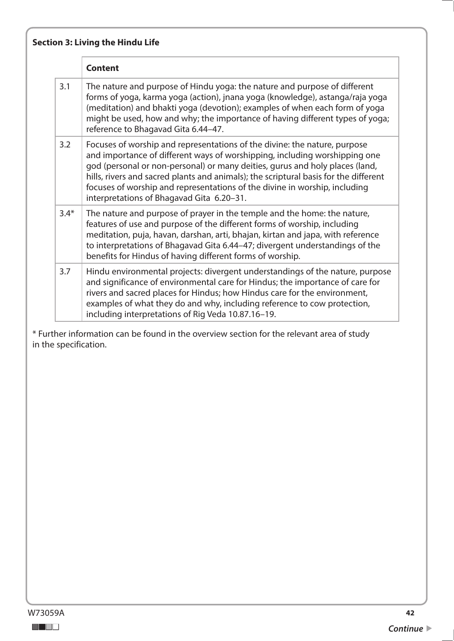|        | <b>Content</b>                                                                                                                                                                                                                                                                                                                                                                                                                                             |
|--------|------------------------------------------------------------------------------------------------------------------------------------------------------------------------------------------------------------------------------------------------------------------------------------------------------------------------------------------------------------------------------------------------------------------------------------------------------------|
| 3.1    | The nature and purpose of Hindu yoga: the nature and purpose of different<br>forms of yoga, karma yoga (action), jnana yoga (knowledge), astanga/raja yoga<br>(meditation) and bhakti yoga (devotion); examples of when each form of yoga<br>might be used, how and why; the importance of having different types of yoga;<br>reference to Bhagavad Gita 6.44-47.                                                                                          |
| 3.2    | Focuses of worship and representations of the divine: the nature, purpose<br>and importance of different ways of worshipping, including worshipping one<br>god (personal or non-personal) or many deities, gurus and holy places (land,<br>hills, rivers and sacred plants and animals); the scriptural basis for the different<br>focuses of worship and representations of the divine in worship, including<br>interpretations of Bhagavad Gita 6.20-31. |
| $3.4*$ | The nature and purpose of prayer in the temple and the home: the nature,<br>features of use and purpose of the different forms of worship, including<br>meditation, puja, havan, darshan, arti, bhajan, kirtan and japa, with reference<br>to interpretations of Bhagavad Gita 6.44-47; divergent understandings of the<br>benefits for Hindus of having different forms of worship.                                                                       |
| 3.7    | Hindu environmental projects: divergent understandings of the nature, purpose<br>and significance of environmental care for Hindus; the importance of care for<br>rivers and sacred places for Hindus; how Hindus care for the environment,<br>examples of what they do and why, including reference to cow protection,<br>including interpretations of Rig Veda 10.87.16-19.                                                                              |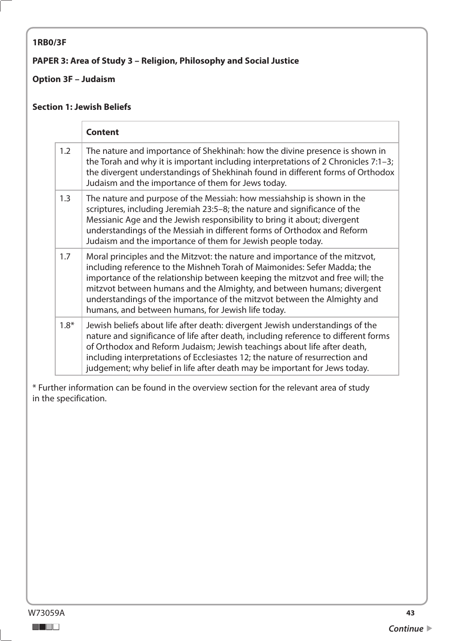#### <span id="page-42-0"></span>**1RB0/3F**

#### **PAPER 3: Area of Study 3 – Religion, Philosophy and Social Justice**

#### **Option 3F – Judaism**

#### **Section 1: Jewish Beliefs**

|        | <b>Content</b>                                                                                                                                                                                                                                                                                                                                                                                                                                       |
|--------|------------------------------------------------------------------------------------------------------------------------------------------------------------------------------------------------------------------------------------------------------------------------------------------------------------------------------------------------------------------------------------------------------------------------------------------------------|
| 1.2    | The nature and importance of Shekhinah: how the divine presence is shown in<br>the Torah and why it is important including interpretations of 2 Chronicles $7:1-3$ ;<br>the divergent understandings of Shekhinah found in different forms of Orthodox<br>Judaism and the importance of them for Jews today.                                                                                                                                         |
| 1.3    | The nature and purpose of the Messiah: how messiahship is shown in the<br>scriptures, including Jeremiah 23:5-8; the nature and significance of the<br>Messianic Age and the Jewish responsibility to bring it about; divergent<br>understandings of the Messiah in different forms of Orthodox and Reform<br>Judaism and the importance of them for Jewish people today.                                                                            |
| 1.7    | Moral principles and the Mitzvot: the nature and importance of the mitzvot,<br>including reference to the Mishneh Torah of Maimonides: Sefer Madda; the<br>importance of the relationship between keeping the mitzvot and free will; the<br>mitzvot between humans and the Almighty, and between humans; divergent<br>understandings of the importance of the mitzvot between the Almighty and<br>humans, and between humans, for Jewish life today. |
| $1.8*$ | Jewish beliefs about life after death: divergent Jewish understandings of the<br>nature and significance of life after death, including reference to different forms<br>of Orthodox and Reform Judaism; Jewish teachings about life after death,<br>including interpretations of Ecclesiastes 12; the nature of resurrection and<br>judgement; why belief in life after death may be important for Jews today.                                       |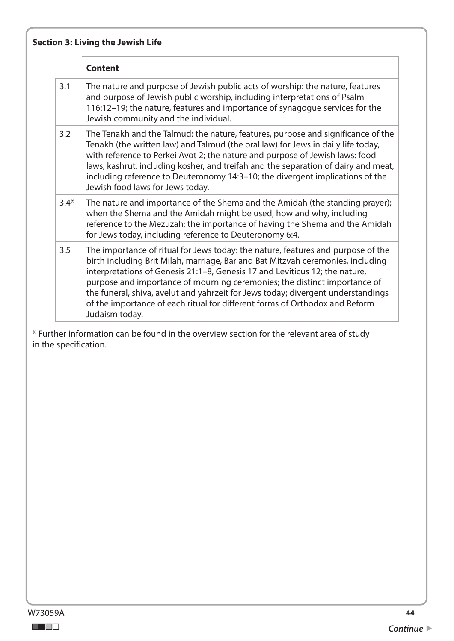|        | <b>Content</b>                                                                                                                                                                                                                                                                                                                                                                                                                                                                                                       |
|--------|----------------------------------------------------------------------------------------------------------------------------------------------------------------------------------------------------------------------------------------------------------------------------------------------------------------------------------------------------------------------------------------------------------------------------------------------------------------------------------------------------------------------|
| 3.1    | The nature and purpose of Jewish public acts of worship: the nature, features<br>and purpose of Jewish public worship, including interpretations of Psalm<br>116:12-19; the nature, features and importance of synagogue services for the<br>Jewish community and the individual.                                                                                                                                                                                                                                    |
| 3.2    | The Tenakh and the Talmud: the nature, features, purpose and significance of the<br>Tenakh (the written law) and Talmud (the oral law) for Jews in daily life today,<br>with reference to Perkei Avot 2; the nature and purpose of Jewish laws: food<br>laws, kashrut, including kosher, and treifah and the separation of dairy and meat,<br>including reference to Deuteronomy 14:3-10; the divergent implications of the<br>Jewish food laws for Jews today.                                                      |
| $3.4*$ | The nature and importance of the Shema and the Amidah (the standing prayer);<br>when the Shema and the Amidah might be used, how and why, including<br>reference to the Mezuzah; the importance of having the Shema and the Amidah<br>for Jews today, including reference to Deuteronomy 6:4.                                                                                                                                                                                                                        |
| 3.5    | The importance of ritual for Jews today: the nature, features and purpose of the<br>birth including Brit Milah, marriage, Bar and Bat Mitzvah ceremonies, including<br>interpretations of Genesis 21:1-8, Genesis 17 and Leviticus 12; the nature,<br>purpose and importance of mourning ceremonies; the distinct importance of<br>the funeral, shiva, avelut and yahrzeit for Jews today; divergent understandings<br>of the importance of each ritual for different forms of Orthodox and Reform<br>Judaism today. |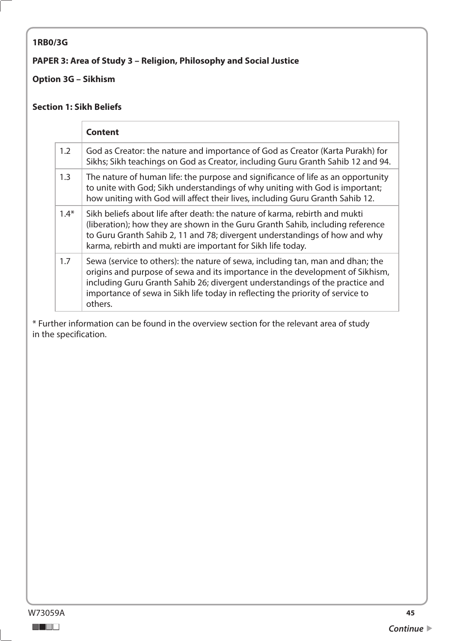#### <span id="page-44-0"></span>**1RB0/3G**

#### **PAPER 3: Area of Study 3 – Religion, Philosophy and Social Justice**

#### **Option 3G – Sikhism**

#### **Section 1: Sikh Beliefs**

|        | <b>Content</b>                                                                                                                                                                                                                                                                                                                               |
|--------|----------------------------------------------------------------------------------------------------------------------------------------------------------------------------------------------------------------------------------------------------------------------------------------------------------------------------------------------|
| 1.2    | God as Creator: the nature and importance of God as Creator (Karta Purakh) for<br>Sikhs; Sikh teachings on God as Creator, including Guru Granth Sahib 12 and 94.                                                                                                                                                                            |
| 1.3    | The nature of human life: the purpose and significance of life as an opportunity<br>to unite with God; Sikh understandings of why uniting with God is important;<br>how uniting with God will affect their lives, including Guru Granth Sahib 12.                                                                                            |
| $1.4*$ | Sikh beliefs about life after death: the nature of karma, rebirth and mukti<br>(liberation); how they are shown in the Guru Granth Sahib, including reference<br>to Guru Granth Sahib 2, 11 and 78; divergent understandings of how and why<br>karma, rebirth and mukti are important for Sikh life today.                                   |
| 1.7    | Sewa (service to others): the nature of sewa, including tan, man and dhan; the<br>origins and purpose of sewa and its importance in the development of Sikhism,<br>including Guru Granth Sahib 26; divergent understandings of the practice and<br>importance of sewa in Sikh life today in reflecting the priority of service to<br>others. |